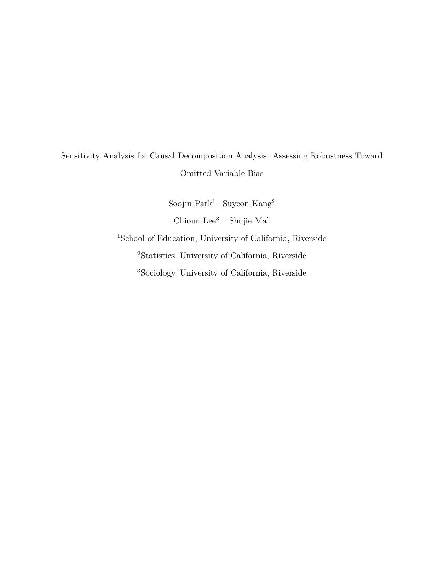# Sensitivity Analysis for Causal Decomposition Analysis: Assessing Robustness Toward Omitted Variable Bias

Soojin Park<sup>1</sup> Suyeon Kang<sup>2</sup> Chioun Lee<sup>3</sup> Shujie Ma<sup>2</sup> <sup>1</sup>School of Education, University of California, Riverside <sup>2</sup>Statistics, University of California, Riverside 3Sociology, University of California, Riverside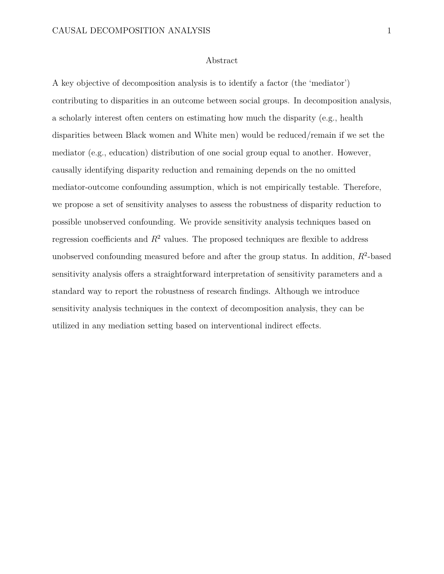### Abstract

A key objective of decomposition analysis is to identify a factor (the 'mediator') contributing to disparities in an outcome between social groups. In decomposition analysis, a scholarly interest often centers on estimating how much the disparity (e.g., health disparities between Black women and White men) would be reduced/remain if we set the mediator (e.g., education) distribution of one social group equal to another. However, causally identifying disparity reduction and remaining depends on the no omitted mediator-outcome confounding assumption, which is not empirically testable. Therefore, we propose a set of sensitivity analyses to assess the robustness of disparity reduction to possible unobserved confounding. We provide sensitivity analysis techniques based on regression coefficients and  $R^2$  values. The proposed techniques are flexible to address unobserved confounding measured before and after the group status. In addition, *R*<sup>2</sup>-based sensitivity analysis offers a straightforward interpretation of sensitivity parameters and a standard way to report the robustness of research findings. Although we introduce sensitivity analysis techniques in the context of decomposition analysis, they can be utilized in any mediation setting based on interventional indirect effects.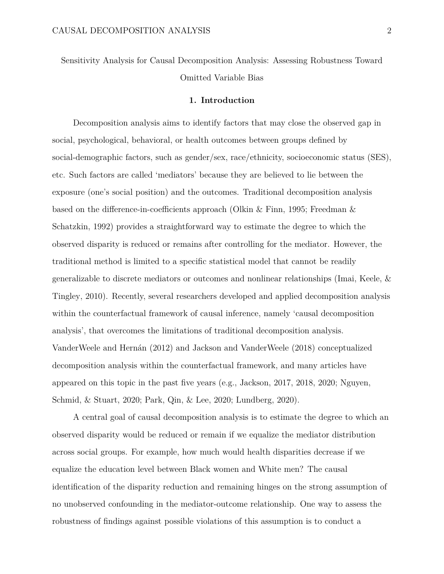Sensitivity Analysis for Causal Decomposition Analysis: Assessing Robustness Toward Omitted Variable Bias

### **1. Introduction**

Decomposition analysis aims to identify factors that may close the observed gap in social, psychological, behavioral, or health outcomes between groups defined by social-demographic factors, such as gender/sex, race/ethnicity, socioeconomic status (SES), etc. Such factors are called 'mediators' because they are believed to lie between the exposure (one's social position) and the outcomes. Traditional decomposition analysis based on the difference-in-coefficients approach (Olkin & Finn, 1995; Freedman & Schatzkin, 1992) provides a straightforward way to estimate the degree to which the observed disparity is reduced or remains after controlling for the mediator. However, the traditional method is limited to a specific statistical model that cannot be readily generalizable to discrete mediators or outcomes and nonlinear relationships (Imai, Keele, & Tingley, 2010). Recently, several researchers developed and applied decomposition analysis within the counterfactual framework of causal inference, namely 'causal decomposition analysis', that overcomes the limitations of traditional decomposition analysis. VanderWeele and Hernán (2012) and Jackson and VanderWeele (2018) conceptualized decomposition analysis within the counterfactual framework, and many articles have appeared on this topic in the past five years (e.g., Jackson, 2017, 2018, 2020; Nguyen, Schmid, & Stuart, 2020; Park, Qin, & Lee, 2020; Lundberg, 2020).

A central goal of causal decomposition analysis is to estimate the degree to which an observed disparity would be reduced or remain if we equalize the mediator distribution across social groups. For example, how much would health disparities decrease if we equalize the education level between Black women and White men? The causal identification of the disparity reduction and remaining hinges on the strong assumption of no unobserved confounding in the mediator-outcome relationship. One way to assess the robustness of findings against possible violations of this assumption is to conduct a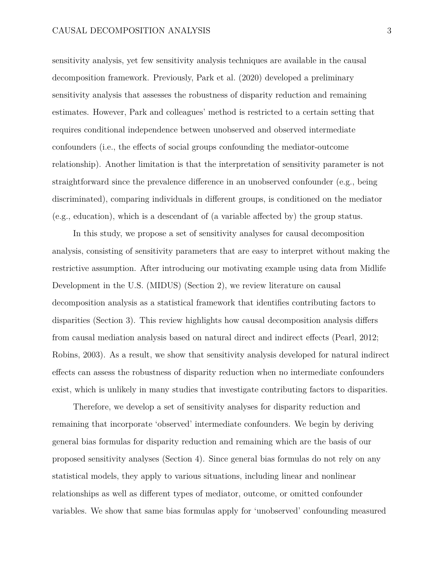sensitivity analysis, yet few sensitivity analysis techniques are available in the causal decomposition framework. Previously, Park et al. (2020) developed a preliminary sensitivity analysis that assesses the robustness of disparity reduction and remaining estimates. However, Park and colleagues' method is restricted to a certain setting that requires conditional independence between unobserved and observed intermediate confounders (i.e., the effects of social groups confounding the mediator-outcome relationship). Another limitation is that the interpretation of sensitivity parameter is not straightforward since the prevalence difference in an unobserved confounder (e.g., being discriminated), comparing individuals in different groups, is conditioned on the mediator  $(e.g., education)$ , which is a descendant of (a variable affected by) the group status.

In this study, we propose a set of sensitivity analyses for causal decomposition analysis, consisting of sensitivity parameters that are easy to interpret without making the restrictive assumption. After introducing our motivating example using data from Midlife Development in the U.S. (MIDUS) (Section 2), we review literature on causal decomposition analysis as a statistical framework that identifies contributing factors to disparities (Section 3). This review highlights how causal decomposition analysis differs from causal mediation analysis based on natural direct and indirect effects (Pearl, 2012; Robins, 2003). As a result, we show that sensitivity analysis developed for natural indirect effects can assess the robustness of disparity reduction when no intermediate confounders exist, which is unlikely in many studies that investigate contributing factors to disparities.

Therefore, we develop a set of sensitivity analyses for disparity reduction and remaining that incorporate 'observed' intermediate confounders. We begin by deriving general bias formulas for disparity reduction and remaining which are the basis of our proposed sensitivity analyses (Section 4). Since general bias formulas do not rely on any statistical models, they apply to various situations, including linear and nonlinear relationships as well as different types of mediator, outcome, or omitted confounder variables. We show that same bias formulas apply for 'unobserved' confounding measured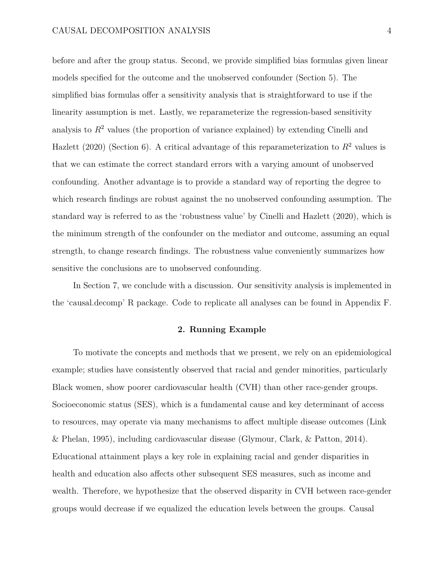before and after the group status. Second, we provide simplified bias formulas given linear models specified for the outcome and the unobserved confounder (Section 5). The simplified bias formulas offer a sensitivity analysis that is straightforward to use if the linearity assumption is met. Lastly, we reparameterize the regression-based sensitivity analysis to  $R<sup>2</sup>$  values (the proportion of variance explained) by extending Cinelli and Hazlett (2020) (Section 6). A critical advantage of this reparameterization to  $R^2$  values is that we can estimate the correct standard errors with a varying amount of unobserved confounding. Another advantage is to provide a standard way of reporting the degree to which research findings are robust against the no unobserved confounding assumption. The standard way is referred to as the 'robustness value' by Cinelli and Hazlett (2020), which is the minimum strength of the confounder on the mediator and outcome, assuming an equal strength, to change research findings. The robustness value conveniently summarizes how sensitive the conclusions are to unobserved confounding.

In Section 7, we conclude with a discussion. Our sensitivity analysis is implemented in the 'causal.decomp' R package. Code to replicate all analyses can be found in Appendix F.

### **2. Running Example**

To motivate the concepts and methods that we present, we rely on an epidemiological example; studies have consistently observed that racial and gender minorities, particularly Black women, show poorer cardiovascular health (CVH) than other race-gender groups. Socioeconomic status (SES), which is a fundamental cause and key determinant of access to resources, may operate via many mechanisms to affect multiple disease outcomes (Link & Phelan, 1995), including cardiovascular disease (Glymour, Clark, & Patton, 2014). Educational attainment plays a key role in explaining racial and gender disparities in health and education also affects other subsequent SES measures, such as income and wealth. Therefore, we hypothesize that the observed disparity in CVH between race-gender groups would decrease if we equalized the education levels between the groups. Causal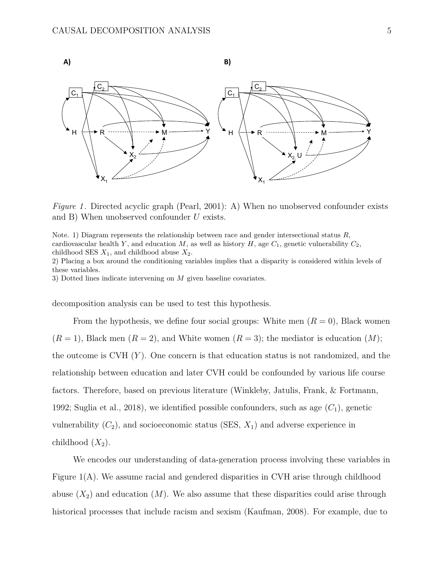

*Figure 1*. Directed acyclic graph (Pearl, 2001): A) When no unobserved confounder exists and B) When unobserved confounder *U* exists.

Note. 1) Diagram represents the relationship between race and gender intersectional status *R*, cardiovascular health *Y*, and education *M*, as well as history *H*, age  $C_1$ , genetic vulnerability  $C_2$ , childhood SES  $X_1$ , and childhood abuse  $X_2$ .

2) Placing a box around the conditioning variables implies that a disparity is considered within levels of these variables.

3) Dotted lines indicate intervening on *M* given baseline covariates.

decomposition analysis can be used to test this hypothesis.

From the hypothesis, we define four social groups: White men  $(R = 0)$ , Black women  $(R = 1)$ , Black men  $(R = 2)$ , and White women  $(R = 3)$ ; the mediator is education  $(M)$ ; the outcome is CVH (*Y* ). One concern is that education status is not randomized, and the relationship between education and later CVH could be confounded by various life course factors. Therefore, based on previous literature (Winkleby, Jatulis, Frank, & Fortmann, 1992; Suglia et al., 2018), we identified possible confounders, such as age (*C*1), genetic vulnerability  $(C_2)$ , and socioeconomic status  $(SES, X_1)$  and adverse experience in childhood  $(X_2)$ .

We encodes our understanding of data-generation process involving these variables in Figure 1(A). We assume racial and gendered disparities in CVH arise through childhood abuse  $(X_2)$  and education  $(M)$ . We also assume that these disparities could arise through historical processes that include racism and sexism (Kaufman, 2008). For example, due to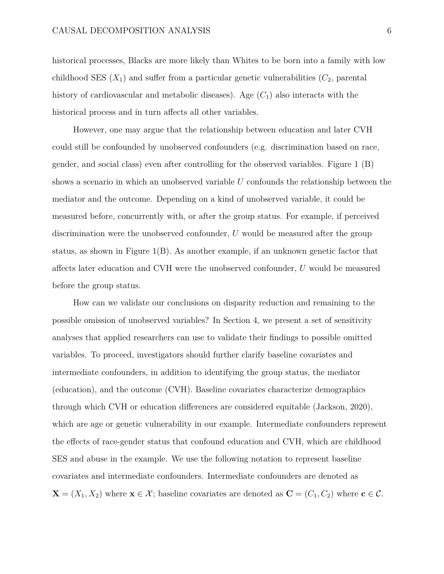historical processes, Blacks are more likely than Whites to be born into a family with low childhood SES  $(X_1)$  and suffer from a particular genetic vulnerabilities  $(C_2$ , parental history of cardiovascular and metabolic diseases). Age  $(C_1)$  also interacts with the historical process and in turn affects all other variables.

However, one may argue that the relationship between education and later CVH could still be confounded by unobserved confounders (e.g. discrimination based on race, gender, and social class) even after controlling for the observed variables. Figure 1 (B) shows a scenario in which an unobserved variable *U* confounds the relationship between the mediator and the outcome. Depending on a kind of unobserved variable, it could be measured before, concurrently with, or after the group status. For example, if perceived discrimination were the unobserved confounder, *U* would be measured after the group status, as shown in Figure  $1(B)$ . As another example, if an unknown genetic factor that affects later education and CVH were the unobserved confounder, *U* would be measured before the group status.

How can we validate our conclusions on disparity reduction and remaining to the possible omission of unobserved variables? In Section 4, we present a set of sensitivity analyses that applied researchers can use to validate their findings to possible omitted variables. To proceed, investigators should further clarify baseline covariates and intermediate confounders, in addition to identifying the group status, the mediator (education), and the outcome (CVH). Baseline covariates characterize demographics through which CVH or education differences are considered equitable (Jackson, 2020), which are age or genetic vulnerability in our example. Intermediate confounders represent the effects of race-gender status that confound education and CVH, which are childhood SES and abuse in the example. We use the following notation to represent baseline covariates and intermediate confounders. Intermediate confounders are denoted as  $\mathbf{X} = (X_1, X_2)$  where  $\mathbf{x} \in \mathcal{X}$ ; baseline covariates are denoted as  $\mathbf{C} = (C_1, C_2)$  where  $\mathbf{c} \in \mathcal{C}$ .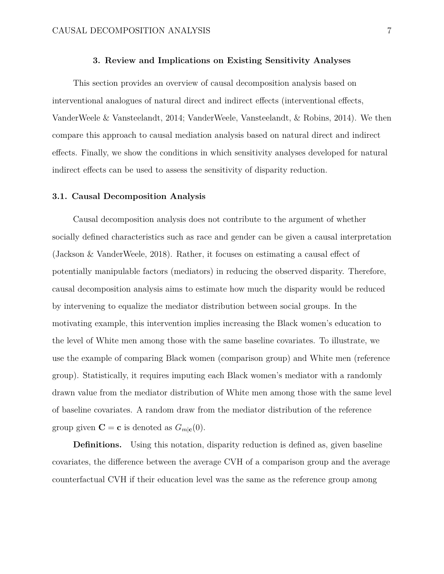### **3. Review and Implications on Existing Sensitivity Analyses**

This section provides an overview of causal decomposition analysis based on interventional analogues of natural direct and indirect effects (interventional effects, VanderWeele & Vansteelandt, 2014; VanderWeele, Vansteelandt, & Robins, 2014). We then compare this approach to causal mediation analysis based on natural direct and indirect effects. Finally, we show the conditions in which sensitivity analyses developed for natural indirect effects can be used to assess the sensitivity of disparity reduction.

### **3.1. Causal Decomposition Analysis**

Causal decomposition analysis does not contribute to the argument of whether socially defined characteristics such as race and gender can be given a causal interpretation (Jackson & VanderWeele, 2018). Rather, it focuses on estimating a causal effect of potentially manipulable factors (mediators) in reducing the observed disparity. Therefore, causal decomposition analysis aims to estimate how much the disparity would be reduced by intervening to equalize the mediator distribution between social groups. In the motivating example, this intervention implies increasing the Black women's education to the level of White men among those with the same baseline covariates. To illustrate, we use the example of comparing Black women (comparison group) and White men (reference group). Statistically, it requires imputing each Black women's mediator with a randomly drawn value from the mediator distribution of White men among those with the same level of baseline covariates. A random draw from the mediator distribution of the reference group given  $\mathbf{C} = \mathbf{c}$  is denoted as  $G_{m|\mathbf{c}}(0)$ .

**Definitions.** Using this notation, disparity reduction is defined as, given baseline covariates, the difference between the average CVH of a comparison group and the average counterfactual CVH if their education level was the same as the reference group among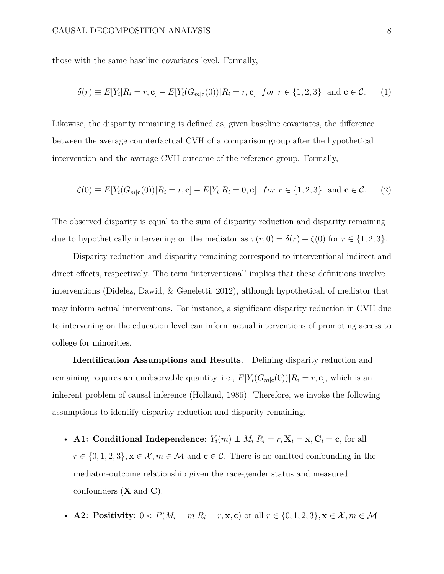those with the same baseline covariates level. Formally,

$$
\delta(r) \equiv E[Y_i|R_i = r, \mathbf{c}] - E[Y_i(G_{m|\mathbf{c}}(0))|R_i = r, \mathbf{c}] \quad \text{for } r \in \{1, 2, 3\} \quad \text{and } \mathbf{c} \in \mathcal{C}.
$$
 (1)

Likewise, the disparity remaining is defined as, given baseline covariates, the difference between the average counterfactual CVH of a comparison group after the hypothetical intervention and the average CVH outcome of the reference group. Formally,

$$
\zeta(0) \equiv E[Y_i(G_{m|\mathbf{c}}(0))|R_i = r, \mathbf{c}] - E[Y_i|R_i = 0, \mathbf{c}] \text{ for } r \in \{1, 2, 3\} \text{ and } \mathbf{c} \in \mathcal{C}.
$$
 (2)

The observed disparity is equal to the sum of disparity reduction and disparity remaining due to hypothetically intervening on the mediator as  $\tau(r, 0) = \delta(r) + \zeta(0)$  for  $r \in \{1, 2, 3\}$ .

Disparity reduction and disparity remaining correspond to interventional indirect and direct effects, respectively. The term 'interventional' implies that these definitions involve interventions (Didelez, Dawid, & Geneletti, 2012), although hypothetical, of mediator that may inform actual interventions. For instance, a significant disparity reduction in CVH due to intervening on the education level can inform actual interventions of promoting access to college for minorities.

**Identification Assumptions and Results.** Defining disparity reduction and remaining requires an unobservable quantity–i.e.,  $E[Y_i(G_{m|c}(0))|R_i = r, c]$ , which is an inherent problem of causal inference (Holland, 1986). Therefore, we invoke the following assumptions to identify disparity reduction and disparity remaining.

• **A1:** Conditional Independence:  $Y_i(m) \perp M_i | R_i = r, \mathbf{X}_i = \mathbf{x}, \mathbf{C}_i = \mathbf{c}$ , for all  $r \in \{0, 1, 2, 3\}, \mathbf{x} \in \mathcal{X}, m \in \mathcal{M}$  and  $\mathbf{c} \in \mathcal{C}$ . There is no omitted confounding in the mediator-outcome relationship given the race-gender status and measured confounders (**X** and **C**).

• A2: Positivity: 
$$
0 < P(M_i = m | R_i = r, \mathbf{x}, \mathbf{c})
$$
 or all  $r \in \{0, 1, 2, 3\}, \mathbf{x} \in \mathcal{X}, m \in \mathcal{M}$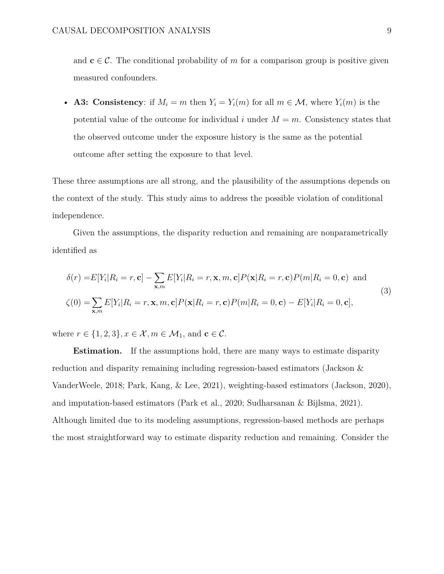and  $c \in \mathcal{C}$ . The conditional probability of *m* for a comparison group is positive given measured confounders.

• **A3: Consistency**: if  $M_i = m$  then  $Y_i = Y_i(m)$  for all  $m \in \mathcal{M}$ , where  $Y_i(m)$  is the potential value of the outcome for individual  $i$  under  $M = m$ . Consistency states that the observed outcome under the exposure history is the same as the potential outcome after setting the exposure to that level.

These three assumptions are all strong, and the plausibility of the assumptions depends on the context of the study. This study aims to address the possible violation of conditional independence.

Given the assumptions, the disparity reduction and remaining are nonparametrically identified as

$$
\delta(r) = E[Y_i | R_i = r, \mathbf{c}] - \sum_{\mathbf{x}, m} E[Y_i | R_i = r, \mathbf{x}, m, \mathbf{c}] P(\mathbf{x} | R_i = r, \mathbf{c}) P(m | R_i = 0, \mathbf{c}) \text{ and}
$$
  
\n
$$
\zeta(0) = \sum_{\mathbf{x}, m} E[Y_i | R_i = r, \mathbf{x}, m, \mathbf{c}] P(\mathbf{x} | R_i = r, \mathbf{c}) P(m | R_i = 0, \mathbf{c}) - E[Y_i | R_i = 0, \mathbf{c}],
$$
\n(3)

where  $r \in \{1, 2, 3\}$ ,  $x \in \mathcal{X}$ ,  $m \in \mathcal{M}_1$ , and  $\mathbf{c} \in \mathcal{C}$ .

**Estimation.** If the assumptions hold, there are many ways to estimate disparity reduction and disparity remaining including regression-based estimators (Jackson & VanderWeele, 2018; Park, Kang, & Lee, 2021), weighting-based estimators (Jackson, 2020), and imputation-based estimators (Park et al., 2020; Sudharsanan & Bijlsma, 2021). Although limited due to its modeling assumptions, regression-based methods are perhaps the most straightforward way to estimate disparity reduction and remaining. Consider the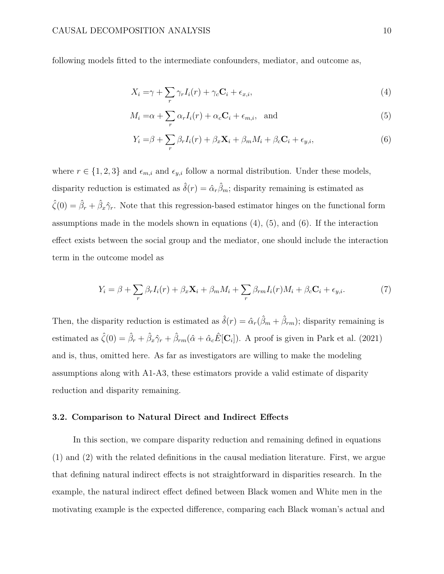following models fitted to the intermediate confounders, mediator, and outcome as,

$$
X_i = \gamma + \sum_r \gamma_r I_i(r) + \gamma_c \mathbf{C}_i + \epsilon_{x,i},\tag{4}
$$

$$
M_i = \alpha + \sum_r \alpha_r I_i(r) + \alpha_c \mathbf{C}_i + \epsilon_{m,i}, \text{ and} \tag{5}
$$

$$
Y_i = \beta + \sum_r \beta_r I_i(r) + \beta_x \mathbf{X}_i + \beta_m M_i + \beta_c \mathbf{C}_i + \epsilon_{y,i},\tag{6}
$$

where  $r \in \{1, 2, 3\}$  and  $\epsilon_{m,i}$  and  $\epsilon_{y,i}$  follow a normal distribution. Under these models, disparity reduction is estimated as  $\hat{\delta}(r) = \hat{\alpha}_r \hat{\beta}_m$ ; disparity remaining is estimated as  $\hat{\zeta}(0) = \hat{\beta}_r + \hat{\beta}_x \hat{\gamma}_r$ . Note that this regression-based estimator hinges on the functional form assumptions made in the models shown in equations  $(4)$ ,  $(5)$ , and  $(6)$ . If the interaction effect exists between the social group and the mediator, one should include the interaction term in the outcome model as

$$
Y_i = \beta + \sum_r \beta_r I_i(r) + \beta_x \mathbf{X}_i + \beta_m M_i + \sum_r \beta_{rm} I_i(r) M_i + \beta_c \mathbf{C}_i + \epsilon_{y,i}.
$$
 (7)

Then, the disparity reduction is estimated as  $\hat{\delta}(r) = \hat{\alpha}_r(\hat{\beta}_m + \hat{\beta}_{rm})$ ; disparity remaining is estimated as  $\hat{\zeta}(0) = \hat{\beta}_r + \hat{\beta}_x \hat{\gamma}_r + \hat{\beta}_{rm}(\hat{\alpha} + \hat{\alpha}_c \hat{E}[\mathbf{C}_i])$ . A proof is given in Park et al. (2021) and is, thus, omitted here. As far as investigators are willing to make the modeling assumptions along with A1-A3, these estimators provide a valid estimate of disparity reduction and disparity remaining.

#### **3.2. Comparison to Natural Direct and Indirect Effects**

In this section, we compare disparity reduction and remaining defined in equations (1) and (2) with the related definitions in the causal mediation literature. First, we argue that defining natural indirect effects is not straightforward in disparities research. In the example, the natural indirect effect defined between Black women and White men in the motivating example is the expected difference, comparing each Black woman's actual and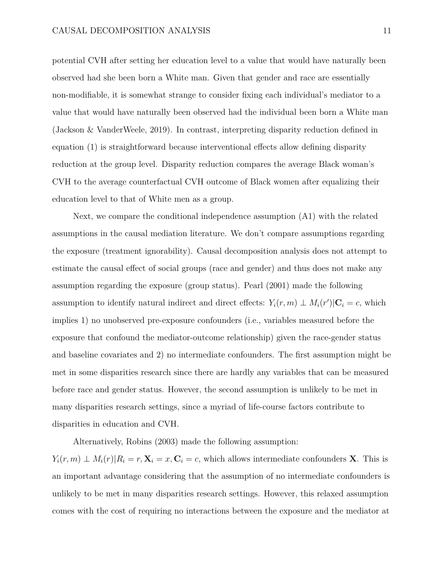potential CVH after setting her education level to a value that would have naturally been observed had she been born a White man. Given that gender and race are essentially non-modifiable, it is somewhat strange to consider fixing each individual's mediator to a value that would have naturally been observed had the individual been born a White man (Jackson & VanderWeele, 2019). In contrast, interpreting disparity reduction defined in equation  $(1)$  is straightforward because interventional effects allow defining disparity reduction at the group level. Disparity reduction compares the average Black woman's CVH to the average counterfactual CVH outcome of Black women after equalizing their education level to that of White men as a group.

Next, we compare the conditional independence assumption (A1) with the related assumptions in the causal mediation literature. We don't compare assumptions regarding the exposure (treatment ignorability). Causal decomposition analysis does not attempt to estimate the causal effect of social groups (race and gender) and thus does not make any assumption regarding the exposure (group status). Pearl (2001) made the following assumption to identify natural indirect and direct effects:  $Y_i(r, m) \perp M_i(r') | \mathbf{C}_i = c$ , which implies 1) no unobserved pre-exposure confounders (i.e., variables measured before the exposure that confound the mediator-outcome relationship) given the race-gender status and baseline covariates and 2) no intermediate confounders. The first assumption might be met in some disparities research since there are hardly any variables that can be measured before race and gender status. However, the second assumption is unlikely to be met in many disparities research settings, since a myriad of life-course factors contribute to disparities in education and CVH.

Alternatively, Robins (2003) made the following assumption:  $Y_i(r, m) \perp M_i(r) | R_i = r, \mathbf{X}_i = x, \mathbf{C}_i = c$ , which allows intermediate confounders **X**. This is an important advantage considering that the assumption of no intermediate confounders is unlikely to be met in many disparities research settings. However, this relaxed assumption comes with the cost of requiring no interactions between the exposure and the mediator at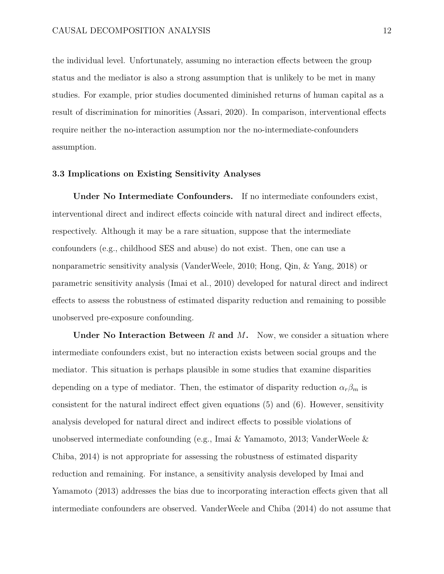the individual level. Unfortunately, assuming no interaction effects between the group status and the mediator is also a strong assumption that is unlikely to be met in many studies. For example, prior studies documented diminished returns of human capital as a result of discrimination for minorities (Assari, 2020). In comparison, interventional effects require neither the no-interaction assumption nor the no-intermediate-confounders assumption.

#### **3.3 Implications on Existing Sensitivity Analyses**

**Under No Intermediate Confounders.** If no intermediate confounders exist, interventional direct and indirect effects coincide with natural direct and indirect effects, respectively. Although it may be a rare situation, suppose that the intermediate confounders (e.g., childhood SES and abuse) do not exist. Then, one can use a nonparametric sensitivity analysis (VanderWeele, 2010; Hong, Qin, & Yang, 2018) or parametric sensitivity analysis (Imai et al., 2010) developed for natural direct and indirect effects to assess the robustness of estimated disparity reduction and remaining to possible unobserved pre-exposure confounding.

**Under No Interaction Between** *R* **and** *M***.** Now, we consider a situation where intermediate confounders exist, but no interaction exists between social groups and the mediator. This situation is perhaps plausible in some studies that examine disparities depending on a type of mediator. Then, the estimator of disparity reduction  $\alpha_r \beta_m$  is consistent for the natural indirect effect given equations  $(5)$  and  $(6)$ . However, sensitivity analysis developed for natural direct and indirect effects to possible violations of unobserved intermediate confounding (e.g., Imai & Yamamoto, 2013; VanderWeele & Chiba, 2014) is not appropriate for assessing the robustness of estimated disparity reduction and remaining. For instance, a sensitivity analysis developed by Imai and Yamamoto (2013) addresses the bias due to incorporating interaction effects given that all intermediate confounders are observed. VanderWeele and Chiba (2014) do not assume that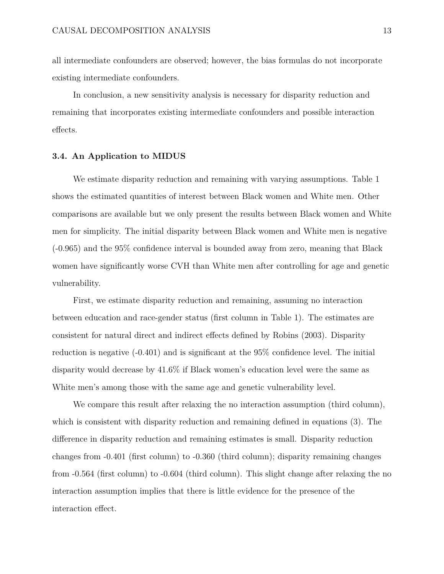all intermediate confounders are observed; however, the bias formulas do not incorporate existing intermediate confounders.

In conclusion, a new sensitivity analysis is necessary for disparity reduction and remaining that incorporates existing intermediate confounders and possible interaction effects.

### **3.4. An Application to MIDUS**

We estimate disparity reduction and remaining with varying assumptions. Table 1 shows the estimated quantities of interest between Black women and White men. Other comparisons are available but we only present the results between Black women and White men for simplicity. The initial disparity between Black women and White men is negative (-0.965) and the 95% confidence interval is bounded away from zero, meaning that Black women have significantly worse CVH than White men after controlling for age and genetic vulnerability.

First, we estimate disparity reduction and remaining, assuming no interaction between education and race-gender status (first column in Table 1). The estimates are consistent for natural direct and indirect effects defined by Robins (2003). Disparity reduction is negative (-0.401) and is significant at the 95% confidence level. The initial disparity would decrease by 41.6% if Black women's education level were the same as White men's among those with the same age and genetic vulnerability level.

We compare this result after relaxing the no interaction assumption (third column), which is consistent with disparity reduction and remaining defined in equations (3). The difference in disparity reduction and remaining estimates is small. Disparity reduction changes from -0.401 (first column) to -0.360 (third column); disparity remaining changes from -0.564 (first column) to -0.604 (third column). This slight change after relaxing the no interaction assumption implies that there is little evidence for the presence of the interaction effect.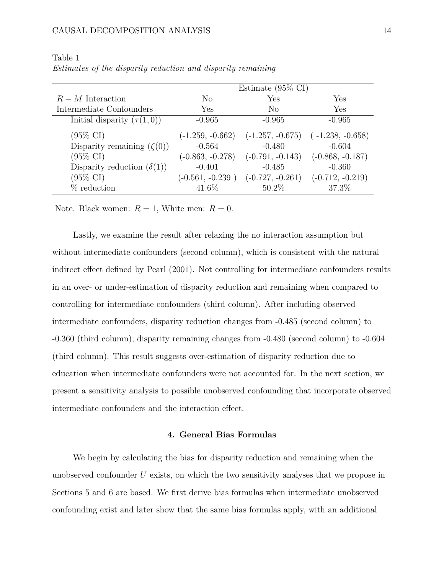|                                   | Estimate $(95\% \text{ CI})$ |                    |                    |
|-----------------------------------|------------------------------|--------------------|--------------------|
| $R-M$ Interaction                 | No                           | Yes                | Yes                |
| Intermediate Confounders          | Yes                          | N <sub>0</sub>     | Yes                |
| Initial disparity $(\tau(1,0))$   | $-0.965$                     | $-0.965$           | $-0.965$           |
| $(95\% \text{ CI})$               | $(-1.259, -0.662)$           | $(-1.257, -0.675)$ | $(-1.238, -0.658)$ |
| Disparity remaining $(\zeta(0))$  | $-0.564$                     | $-0.480$           | $-0.604$           |
| $(95\% \text{ CI})$               | $(-0.863, -0.278)$           | $(-0.791, -0.143)$ | $(-0.868, -0.187)$ |
| Disparity reduction $(\delta(1))$ | $-0.401$                     | $-0.485$           | $-0.360$           |
| $(95\% \text{ CI})$               | $(-0.561, -0.239)$           | $(-0.727, -0.261)$ | $(-0.712, -0.219)$ |
| $%$ reduction                     | 41.6%                        | $50.2\%$           | 37.3%              |

Table 1 *Estimates of the disparity reduction and disparity remaining*

Note. Black women:  $R = 1$ , White men:  $R = 0$ .

Lastly, we examine the result after relaxing the no interaction assumption but without intermediate confounders (second column), which is consistent with the natural indirect effect defined by Pearl (2001). Not controlling for intermediate confounders results in an over- or under-estimation of disparity reduction and remaining when compared to controlling for intermediate confounders (third column). After including observed intermediate confounders, disparity reduction changes from -0.485 (second column) to -0.360 (third column); disparity remaining changes from -0.480 (second column) to -0.604 (third column). This result suggests over-estimation of disparity reduction due to education when intermediate confounders were not accounted for. In the next section, we present a sensitivity analysis to possible unobserved confounding that incorporate observed intermediate confounders and the interaction effect.

### **4. General Bias Formulas**

We begin by calculating the bias for disparity reduction and remaining when the unobserved confounder *U* exists, on which the two sensitivity analyses that we propose in Sections 5 and 6 are based. We first derive bias formulas when intermediate unobserved confounding exist and later show that the same bias formulas apply, with an additional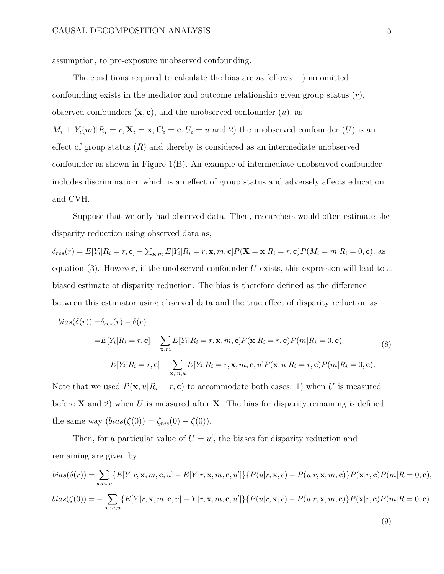assumption, to pre-exposure unobserved confounding.

The conditions required to calculate the bias are as follows: 1) no omitted confounding exists in the mediator and outcome relationship given group status (*r*), observed confounders  $(\mathbf{x}, \mathbf{c})$ , and the unobserved confounder  $(u)$ , as  $M_i \perp Y_i(m) | R_i = r, \mathbf{X}_i = \mathbf{x}, \mathbf{C}_i = \mathbf{c}, U_i = u$  and 2) the unobserved confounder (*U*) is an effect of group status  $(R)$  and thereby is considered as an intermediate unobserved confounder as shown in Figure 1(B). An example of intermediate unobserved confounder includes discrimination, which is an effect of group status and adversely affects education and CVH.

Suppose that we only had observed data. Then, researchers would often estimate the disparity reduction using observed data as,

 $\delta_{res}(r) = E[Y_i|R_i = r, \mathbf{c}] - \sum_{\mathbf{x},m} E[Y_i|R_i = r, \mathbf{x}, m, \mathbf{c}]P(\mathbf{X} = \mathbf{x}|R_i = r, \mathbf{c})P(M_i = m|R_i = 0, \mathbf{c}),$  as equation (3). However, if the unobserved confounder *U* exists, this expression will lead to a biased estimate of disparity reduction. The bias is therefore defined as the difference between this estimator using observed data and the true effect of disparity reduction as

$$
bias(\delta(r)) = \delta_{res}(r) - \delta(r)
$$
  
\n
$$
= E[Y_i | R_i = r, \mathbf{c}] - \sum_{\mathbf{x}, m} E[Y_i | R_i = r, \mathbf{x}, m, \mathbf{c}] P(\mathbf{x} | R_i = r, \mathbf{c}) P(m | R_i = 0, \mathbf{c})
$$
\n
$$
- E[Y_i | R_i = r, \mathbf{c}] + \sum_{\mathbf{x}, m, u} E[Y_i | R_i = r, \mathbf{x}, m, \mathbf{c}, u] P(\mathbf{x}, u | R_i = r, \mathbf{c}) P(m | R_i = 0, \mathbf{c}).
$$
\n(8)

Note that we used  $P(\mathbf{x}, u | R_i = r, \mathbf{c})$  to accommodate both cases: 1) when *U* is measured before **X** and 2) when *U* is measured after **X**. The bias for disparity remaining is defined the same way  $(bias(\zeta(0)) = \zeta_{res}(0) - \zeta(0)).$ 

Then, for a particular value of  $U = u'$ , the biases for disparity reduction and remaining are given by

$$
bias(\delta(r)) = \sum_{\mathbf{x},m,u} \{ E[Y|r,\mathbf{x},m,\mathbf{c},u] - E[Y|r,\mathbf{x},m,\mathbf{c},u'] \} \{ P(u|r,\mathbf{x},c) - P(u|r,\mathbf{x},m,\mathbf{c}) \} P(\mathbf{x}|r,\mathbf{c}) P(m|R=0,\mathbf{c}),
$$
  
\n
$$
bias(\zeta(0)) = -\sum_{\mathbf{x},m,u} \{ E[Y|r,\mathbf{x},m,\mathbf{c},u] - Y|r,\mathbf{x},m,\mathbf{c},u' \} \} \{ P(u|r,\mathbf{x},c) - P(u|r,\mathbf{x},m,\mathbf{c}) \} P(\mathbf{x}|r,\mathbf{c}) P(m|R=0,\mathbf{c})
$$
\n(9)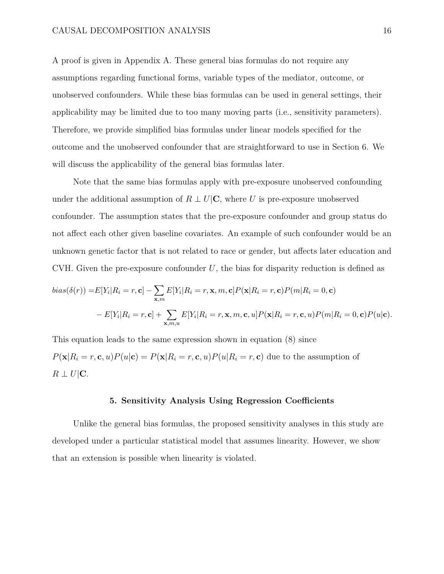A proof is given in Appendix A. These general bias formulas do not require any assumptions regarding functional forms, variable types of the mediator, outcome, or unobserved confounders. While these bias formulas can be used in general settings, their applicability may be limited due to too many moving parts (i.e., sensitivity parameters). Therefore, we provide simplified bias formulas under linear models specified for the outcome and the unobserved confounder that are straightforward to use in Section 6. We will discuss the applicability of the general bias formulas later.

Note that the same bias formulas apply with pre-exposure unobserved confounding under the additional assumption of  $R \perp U|\mathbf{C}$ , where *U* is pre-exposure unobserved confounder. The assumption states that the pre-exposure confounder and group status do not affect each other given baseline covariates. An example of such confounder would be an unknown genetic factor that is not related to race or gender, but affects later education and CVH. Given the pre-exposure confounder *U*, the bias for disparity reduction is defined as

$$
bias(\delta(r)) = E[Y_i | R_i = r, \mathbf{c}] - \sum_{\mathbf{x}, m} E[Y_i | R_i = r, \mathbf{x}, m, \mathbf{c}] P(\mathbf{x} | R_i = r, \mathbf{c}) P(m | R_i = 0, \mathbf{c})
$$

$$
- E[Y_i | R_i = r, \mathbf{c}] + \sum_{\mathbf{x}, m, u} E[Y_i | R_i = r, \mathbf{x}, m, \mathbf{c}, u] P(\mathbf{x} | R_i = r, \mathbf{c}, u) P(m | R_i = 0, \mathbf{c}) P(u | \mathbf{c}).
$$

This equation leads to the same expression shown in equation (8) since  $P(\mathbf{x}|R_i=r,\mathbf{c},u)P(u|\mathbf{c})=P(\mathbf{x}|R_i=r,\mathbf{c},u)P(u|R_i=r,\mathbf{c})$  due to the assumption of  $R \perp U|C$ .

### **5. Sensitivity Analysis Using Regression Coecients**

Unlike the general bias formulas, the proposed sensitivity analyses in this study are developed under a particular statistical model that assumes linearity. However, we show that an extension is possible when linearity is violated.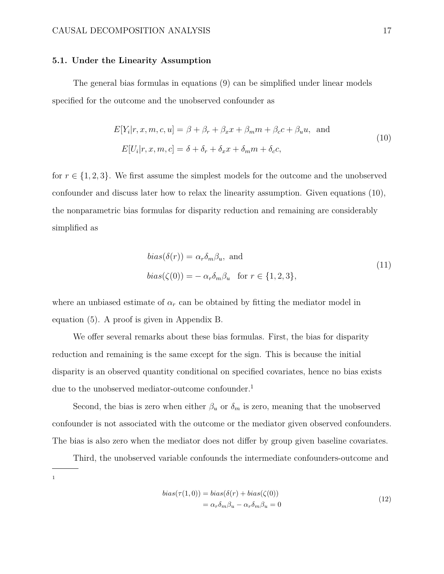### **5.1. Under the Linearity Assumption**

The general bias formulas in equations (9) can be simplified under linear models specified for the outcome and the unobserved confounder as

$$
E[Y_i|r, x, m, c, u] = \beta + \beta_r + \beta_x x + \beta_m m + \beta_c c + \beta_u u, \text{ and}
$$
  
\n
$$
E[U_i|r, x, m, c] = \delta + \delta_r + \delta_x x + \delta_m m + \delta_c c,
$$
\n(10)

for  $r \in \{1, 2, 3\}$ . We first assume the simplest models for the outcome and the unobserved confounder and discuss later how to relax the linearity assumption. Given equations (10), the nonparametric bias formulas for disparity reduction and remaining are considerably simplified as

$$
bias(\delta(r)) = \alpha_r \delta_m \beta_u, \text{ and}
$$
  

$$
bias(\zeta(0)) = -\alpha_r \delta_m \beta_u \text{ for } r \in \{1, 2, 3\},
$$
 (11)

where an unbiased estimate of  $\alpha_r$  can be obtained by fitting the mediator model in equation (5). A proof is given in Appendix B.

We offer several remarks about these bias formulas. First, the bias for disparity reduction and remaining is the same except for the sign. This is because the initial disparity is an observed quantity conditional on specified covariates, hence no bias exists due to the unobserved mediator-outcome confounder.<sup>1</sup>

Second, the bias is zero when either  $\beta_u$  or  $\delta_m$  is zero, meaning that the unobserved confounder is not associated with the outcome or the mediator given observed confounders. The bias is also zero when the mediator does not differ by group given baseline covariates.

Third, the unobserved variable confounds the intermediate confounders-outcome and 1

$$
bias(\tau(1,0)) = bias(\delta(r) + bias(\zeta(0))
$$
  
=  $\alpha_r \delta_m \beta_u - \alpha_r \delta_m \beta_u = 0$  (12)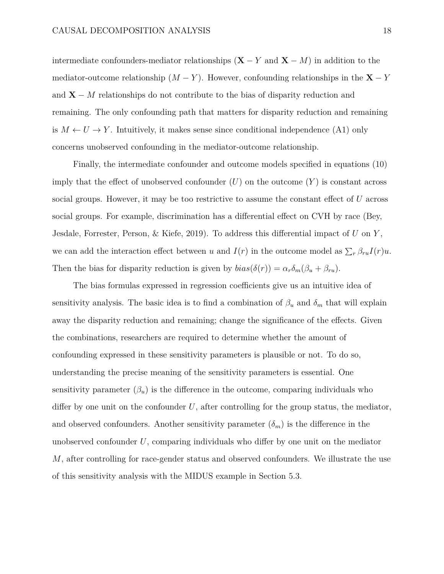intermediate confounders-mediator relationships  $(X - Y \text{ and } X - M)$  in addition to the mediator-outcome relationship  $(M - Y)$ . However, confounding relationships in the **X** – *Y* and  $X - M$  relationships do not contribute to the bias of disparity reduction and remaining. The only confounding path that matters for disparity reduction and remaining is  $M \leftarrow U \rightarrow Y$ . Intuitively, it makes sense since conditional independence (A1) only concerns unobserved confounding in the mediator-outcome relationship.

Finally, the intermediate confounder and outcome models specified in equations (10) imply that the effect of unobserved confounder  $(U)$  on the outcome  $(Y)$  is constant across social groups. However, it may be too restrictive to assume the constant effect of *U* across social groups. For example, discrimination has a differential effect on CVH by race (Bey, Jesdale, Forrester, Person, & Kiefe, 2019). To address this differential impact of *U* on *Y*, we can add the interaction effect between *u* and  $I(r)$  in the outcome model as  $\sum_{r} \beta_{ru} I(r) u$ . Then the bias for disparity reduction is given by  $bias(\delta(r)) = \alpha_r \delta_m(\beta_u + \beta_{ru})$ .

The bias formulas expressed in regression coefficients give us an intuitive idea of sensitivity analysis. The basic idea is to find a combination of  $\beta_u$  and  $\delta_m$  that will explain away the disparity reduction and remaining; change the significance of the effects. Given the combinations, researchers are required to determine whether the amount of confounding expressed in these sensitivity parameters is plausible or not. To do so, understanding the precise meaning of the sensitivity parameters is essential. One sensitivity parameter  $(\beta_u)$  is the difference in the outcome, comparing individuals who differ by one unit on the confounder  $U$ , after controlling for the group status, the mediator, and observed confounders. Another sensitivity parameter  $(\delta_m)$  is the difference in the unobserved confounder  $U$ , comparing individuals who differ by one unit on the mediator *M*, after controlling for race-gender status and observed confounders. We illustrate the use of this sensitivity analysis with the MIDUS example in Section 5.3.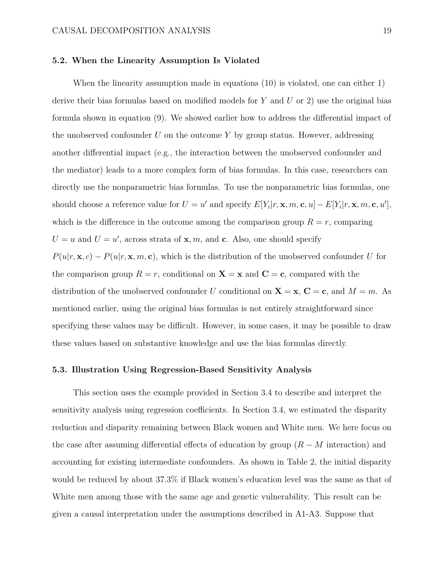### **5.2. When the Linearity Assumption Is Violated**

When the linearity assumption made in equations (10) is violated, one can either 1) derive their bias formulas based on modified models for *Y* and *U* or 2) use the original bias formula shown in equation (9). We showed earlier how to address the differential impact of the unobserved confounder *U* on the outcome *Y* by group status. However, addressing another differential impact (e.g., the interaction between the unobserved confounder and the mediator) leads to a more complex form of bias formulas. In this case, researchers can directly use the nonparametric bias formulas. To use the nonparametric bias formulas, one should choose a reference value for  $U = u'$  and specify  $E[Y_i|r, \mathbf{x}, m, \mathbf{c}, u] - E[Y_i|r, \mathbf{x}, m, \mathbf{c}, u']$ , which is the difference in the outcome among the comparison group  $R = r$ , comparing  $U = u$  and  $U = u'$ , across strata of **x***, m,* and **c**. Also, one should specify  $P(u|r, \mathbf{x}, c) - P(u|r, \mathbf{x}, m, \mathbf{c})$ , which is the distribution of the unobserved confounder *U* for the comparison group  $R = r$ , conditional on  $X = x$  and  $C = c$ , compared with the distribution of the unobserved confounder *U* conditional on  $X = x$ ,  $C = c$ , and  $M = m$ . As mentioned earlier, using the original bias formulas is not entirely straightforward since specifying these values may be difficult. However, in some cases, it may be possible to draw these values based on substantive knowledge and use the bias formulas directly.

### **5.3. Illustration Using Regression-Based Sensitivity Analysis**

This section uses the example provided in Section 3.4 to describe and interpret the sensitivity analysis using regression coefficients. In Section 3.4, we estimated the disparity reduction and disparity remaining between Black women and White men. We here focus on the case after assuming differential effects of education by group  $(R - M)$  interaction) and accounting for existing intermediate confounders. As shown in Table 2, the initial disparity would be reduced by about 37.3% if Black women's education level was the same as that of White men among those with the same age and genetic vulnerability. This result can be given a causal interpretation under the assumptions described in A1-A3. Suppose that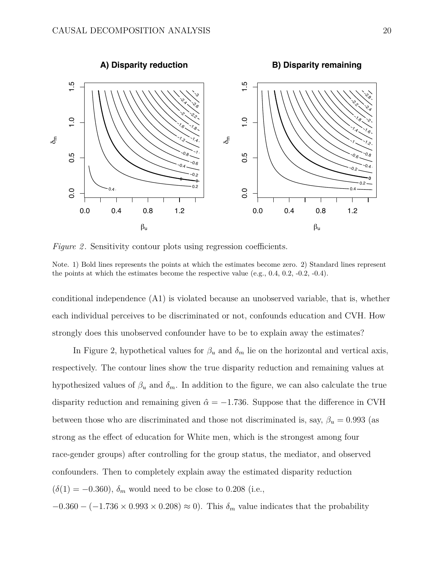

*Figure 2.* Sensitivity contour plots using regression coefficients.

Note. 1) Bold lines represents the points at which the estimates become zero. 2) Standard lines represent the points at which the estimates become the respective value (e.g.,  $0.4$ ,  $0.2$ ,  $-0.2$ ,  $-0.4$ ).

conditional independence (A1) is violated because an unobserved variable, that is, whether each individual perceives to be discriminated or not, confounds education and CVH. How strongly does this unobserved confounder have to be to explain away the estimates?

In Figure 2, hypothetical values for  $\beta_u$  and  $\delta_m$  lie on the horizontal and vertical axis, respectively. The contour lines show the true disparity reduction and remaining values at hypothesized values of  $\beta_u$  and  $\delta_m$ . In addition to the figure, we can also calculate the true disparity reduction and remaining given  $\hat{\alpha} = -1.736$ . Suppose that the difference in CVH between those who are discriminated and those not discriminated is, say,  $\beta_u = 0.993$  (as strong as the effect of education for White men, which is the strongest among four race-gender groups) after controlling for the group status, the mediator, and observed confounders. Then to completely explain away the estimated disparity reduction  $(\delta(1) = -0.360), \delta_m$  would need to be close to 0.208 (i.e.,

 $-0.360 - (-1.736 \times 0.993 \times 0.208) \approx 0$ . This  $\delta_m$  value indicates that the probability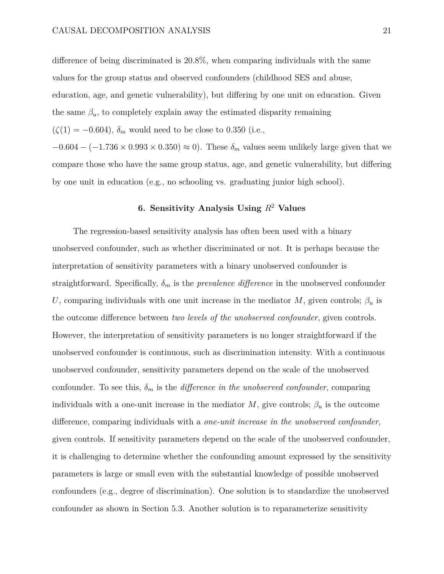difference of being discriminated is  $20.8\%$ , when comparing individuals with the same values for the group status and observed confounders (childhood SES and abuse, education, age, and genetic vulnerability), but differing by one unit on education. Given the same  $\beta_u$ , to completely explain away the estimated disparity remaining  $(\zeta(1) = -0.604)$ ,  $\delta_m$  would need to be close to 0.350 (i.e.,  $-0.604 - (-1.736 \times 0.993 \times 0.350) \approx 0$ . These  $\delta_m$  values seem unlikely large given that we compare those who have the same group status, age, and genetic vulnerability, but differing by one unit in education (e.g., no schooling vs. graduating junior high school).

# **6. Sensitivity Analysis Using** *R*<sup>2</sup> **Values**

The regression-based sensitivity analysis has often been used with a binary unobserved confounder, such as whether discriminated or not. It is perhaps because the interpretation of sensitivity parameters with a binary unobserved confounder is straightforward. Specifically,  $\delta_m$  is the *prevalence difference* in the unobserved confounder *U*, comparing individuals with one unit increase in the mediator *M*, given controls;  $\beta_u$  is the outcome difference between *two levels of the unobserved confounder*, given controls. However, the interpretation of sensitivity parameters is no longer straightforward if the unobserved confounder is continuous, such as discrimination intensity. With a continuous unobserved confounder, sensitivity parameters depend on the scale of the unobserved confounder. To see this,  $\delta_m$  is the *difference in the unobserved confounder*, comparing individuals with a one-unit increase in the mediator  $M$ , give controls;  $\beta_u$  is the outcome difference, comparing individuals with a *one-unit increase in the unobserved confounder*, given controls. If sensitivity parameters depend on the scale of the unobserved confounder, it is challenging to determine whether the confounding amount expressed by the sensitivity parameters is large or small even with the substantial knowledge of possible unobserved confounders (e.g., degree of discrimination). One solution is to standardize the unobserved confounder as shown in Section 5.3. Another solution is to reparameterize sensitivity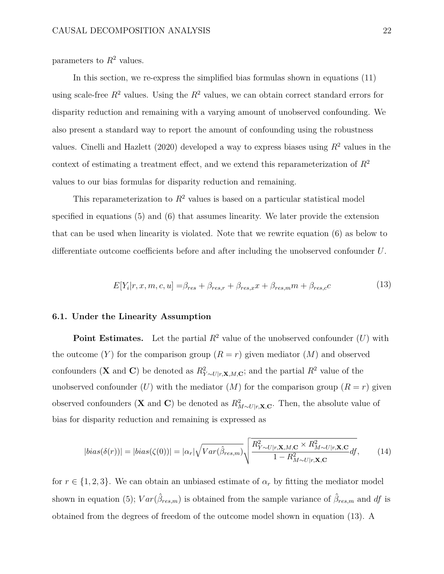parameters to  $R^2$  values.

In this section, we re-express the simplified bias formulas shown in equations (11) using scale-free  $R^2$  values. Using the  $R^2$  values, we can obtain correct standard errors for disparity reduction and remaining with a varying amount of unobserved confounding. We also present a standard way to report the amount of confounding using the robustness values. Cinelli and Hazlett (2020) developed a way to express biases using *R*<sup>2</sup> values in the context of estimating a treatment effect, and we extend this reparameterization of  $R^2$ values to our bias formulas for disparity reduction and remaining.

This reparameterization to  $R^2$  values is based on a particular statistical model specified in equations (5) and (6) that assumes linearity. We later provide the extension that can be used when linearity is violated. Note that we rewrite equation (6) as below to differentiate outcome coefficients before and after including the unobserved confounder  $U$ .

$$
E[Y_i|r, x, m, c, u] = \beta_{res} + \beta_{res,r} + \beta_{res,x}x + \beta_{res,m}m + \beta_{res,c}c
$$
\n(13)

### **6.1. Under the Linearity Assumption**

**Point Estimates.** Let the partial  $R^2$  value of the unobserved confounder  $(U)$  with the outcome  $(Y)$  for the comparison group  $(R = r)$  given mediator  $(M)$  and observed confounders (**X** and **C**) be denoted as  $R_{Y \sim U|r, \mathbf{X}, M, \mathbf{C}}^2$ ; and the partial  $R^2$  value of the unobserved confounder (*U*) with the mediator (*M*) for the comparison group  $(R = r)$  given observed confounders (**X** and **C**) be denoted as  $R_{M \sim U|r, \mathbf{X}, \mathbf{C}}^2$ . Then, the absolute value of bias for disparity reduction and remaining is expressed as

$$
|bias(\delta(r))| = |bias(\zeta(0))| = |\alpha_r| \sqrt{Var(\hat{\beta}_{res,m})} \sqrt{\frac{R_{Y \sim U|r, \mathbf{X}, M, \mathbf{C}}^2 \times R_{M \sim U|r, \mathbf{X}, \mathbf{C}}^2}{1 - R_{M \sim U|r, \mathbf{X}, \mathbf{C}}^2}} df,
$$
(14)

for  $r \in \{1, 2, 3\}$ . We can obtain an unbiased estimate of  $\alpha_r$  by fitting the mediator model shown in equation (5);  $Var(\hat{\beta}_{res,m})$  is obtained from the sample variance of  $\hat{\beta}_{res,m}$  and df is obtained from the degrees of freedom of the outcome model shown in equation (13). A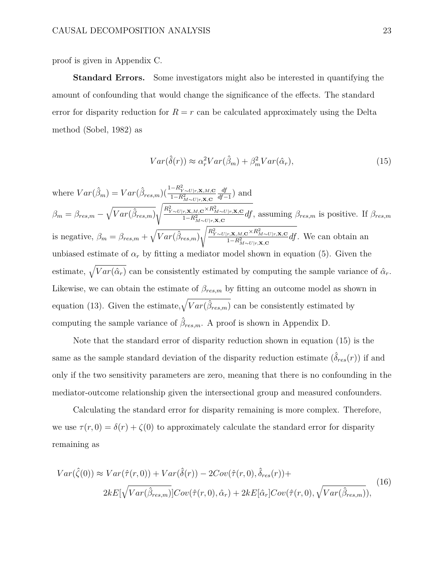proof is given in Appendix C.

**Standard Errors.** Some investigators might also be interested in quantifying the amount of confounding that would change the significance of the effects. The standard error for disparity reduction for  $R = r$  can be calculated approximately using the Delta method (Sobel, 1982) as

$$
Var(\hat{\delta}(r)) \approx \alpha_r^2 Var(\hat{\beta}_m) + \beta_m^2 Var(\hat{\alpha}_r), \qquad (15)
$$

where  $Var(\hat{\beta}_m) = Var(\hat{\beta}_{res,m}) \frac{\left(\frac{1 - R_{Y \sim U|r, \mathbf{X}, M, \mathbf{C}}}{1 - R_{M \sim U|r, \mathbf{X}, \mathbf{C}}^2}\right)}{\left(\frac{1 - R_{Y \sim U|r, \mathbf{X}, M, \mathbf{C}}^2}{1 - R_{M \sim U|r, \mathbf{X}, \mathbf{C}}^2}\right)}$  $\frac{df}{df-1}$  and  $\beta_m = \beta_{res,m} - \sqrt{Var(\hat{\beta}_{res,m})}$  $\sqrt{\frac{R_{Y \sim U \mid r, \mathbf{X}, M, \mathbf{C}}^2 \times R_{M \sim U \mid r, \mathbf{X}, \mathbf{C}}^2}{1-R_{M \sim U \mid r, \mathbf{X}, \mathbf{C}}^2}} df$ , assuming  $\beta_{res,m}$  is positive. If  $\beta_{res,m}$ is negative,  $\beta_m = \beta_{res,m} + \sqrt{Var(\hat{\beta}_{res,m})}$  $\sqrt{\frac{R_{Y\sim U\mid r, \mathbf{X}, M, \mathbf{C}}^2 \times R_{M\sim U\mid r, \mathbf{X}, \mathbf{C}}^2}{1-R_{M\sim U\mid r, \mathbf{X}, \mathbf{C}}^2}} df}$ . We can obtain an unbiased estimate of  $\alpha_r$  by fitting a mediator model shown in equation (5). Given the estimate,  $\sqrt{Var(\hat{\alpha}_r)}$  can be consistently estimated by computing the sample variance of  $\hat{\alpha}_r$ . Likewise, we can obtain the estimate of  $\beta_{res,m}$  by fitting an outcome model as shown in equation (13). Given the estimate,  $\sqrt{Var(\hat{\beta}_{res,m})}$  can be consistently estimated by computing the sample variance of  $\hat{\beta}_{res,m}$ . A proof is shown in Appendix D.

Note that the standard error of disparity reduction shown in equation (15) is the same as the sample standard deviation of the disparity reduction estimate  $(\hat{\delta}_{res}(r))$  if and only if the two sensitivity parameters are zero, meaning that there is no confounding in the mediator-outcome relationship given the intersectional group and measured confounders.

Calculating the standard error for disparity remaining is more complex. Therefore, we use  $\tau(r,0) = \delta(r) + \zeta(0)$  to approximately calculate the standard error for disparity remaining as

$$
Var(\hat{\zeta}(0)) \approx Var(\hat{\tau}(r,0)) + Var(\hat{\delta}(r)) - 2Cov(\hat{\tau}(r,0), \hat{\delta}_{res}(r)) +
$$
  

$$
2kE[\sqrt{Var(\hat{\beta}_{res,m})}]Cov(\hat{\tau}(r,0), \hat{\alpha}_r) + 2kE[\hat{\alpha}_r]Cov(\hat{\tau}(r,0), \sqrt{Var(\hat{\beta}_{res,m})}),
$$
(16)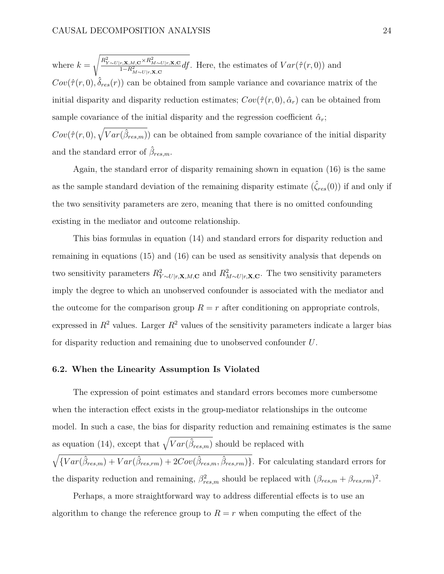where  $k =$  $\sqrt{\frac{R_{Y \sim U|r, \mathbf{X}, M, \mathbf{C}}^2 \times R_{M \sim U|r, \mathbf{X}, \mathbf{C}}^2}{1 - R_{M \sim U|r, \mathbf{X}, \mathbf{C}}^2}} df$ . Here, the estimates of  $Var(\hat{\tau}(r, 0))$  and  $Cov(\hat{\tau}(r,0), \delta_{res}(r))$  can be obtained from sample variance and covariance matrix of the initial disparity and disparity reduction estimates;  $Cov(\hat{\tau}(r,0), \hat{\alpha}_r)$  can be obtained from sample covariance of the initial disparity and the regression coefficient  $\hat{\alpha}_r$ ;  $Cov(\hat{\tau}(r,0), \sqrt{Var(\hat{\beta}_{res,m})})$  can be obtained from sample covariance of the initial disparity and the standard error of  $\hat{\beta}_{res,m}$ .

Again, the standard error of disparity remaining shown in equation (16) is the same as the sample standard deviation of the remaining disparity estimate  $(\hat{\zeta}_{res}(0))$  if and only if the two sensitivity parameters are zero, meaning that there is no omitted confounding existing in the mediator and outcome relationship.

This bias formulas in equation (14) and standard errors for disparity reduction and remaining in equations (15) and (16) can be used as sensitivity analysis that depends on two sensitivity parameters  $R_{Y \sim U|r, \mathbf{X}, M, \mathbf{C}}^2$  and  $R_{M \sim U|r, \mathbf{X}, \mathbf{C}}^2$ . The two sensitivity parameters imply the degree to which an unobserved confounder is associated with the mediator and the outcome for the comparison group  $R = r$  after conditioning on appropriate controls, expressed in  $R^2$  values. Larger  $R^2$  values of the sensitivity parameters indicate a larger bias for disparity reduction and remaining due to unobserved confounder *U*.

### **6.2. When the Linearity Assumption Is Violated**

The expression of point estimates and standard errors becomes more cumbersome when the interaction effect exists in the group-mediator relationships in the outcome model. In such a case, the bias for disparity reduction and remaining estimates is the same as equation (14), except that  $\sqrt{Var(\hat{\beta}_{res,m})}$  should be replaced with  $\sqrt{\{Var(\hat{\beta}_{res,m}) + Var(\hat{\beta}_{res,rm}) + 2Cov(\hat{\beta}_{res,m}, \hat{\beta}_{res,rm})\}}$ . For calculating standard errors for

the disparity reduction and remaining,  $\beta_{res,m}^2$  should be replaced with  $(\beta_{res,m} + \beta_{res,rm})^2$ .

Perhaps, a more straightforward way to address differential effects is to use an algorithm to change the reference group to  $R = r$  when computing the effect of the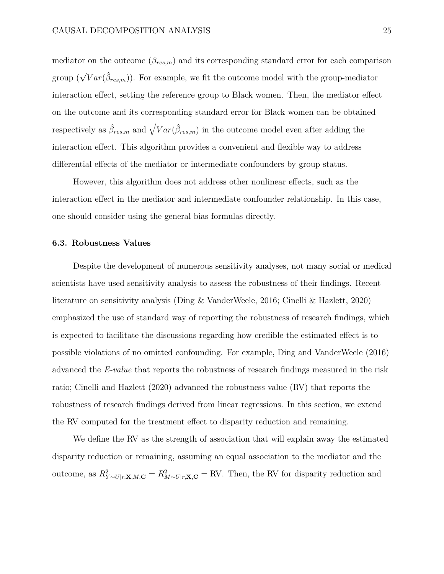mediator on the outcome  $(\beta_{res,m})$  and its corresponding standard error for each comparison group  $(\sqrt{V}ar(\hat{\beta}_{res,m}))$ . For example, we fit the outcome model with the group-mediator interaction effect, setting the reference group to Black women. Then, the mediator effect on the outcome and its corresponding standard error for Black women can be obtained respectively as  $\hat{\beta}_{res,m}$  and  $\sqrt{Var(\hat{\beta}_{res,m})}$  in the outcome model even after adding the interaction effect. This algorithm provides a convenient and flexible way to address differential effects of the mediator or intermediate confounders by group status.

However, this algorithm does not address other nonlinear effects, such as the interaction effect in the mediator and intermediate confounder relationship. In this case, one should consider using the general bias formulas directly.

### **6.3. Robustness Values**

Despite the development of numerous sensitivity analyses, not many social or medical scientists have used sensitivity analysis to assess the robustness of their findings. Recent literature on sensitivity analysis (Ding & VanderWeele, 2016; Cinelli & Hazlett, 2020) emphasized the use of standard way of reporting the robustness of research findings, which is expected to facilitate the discussions regarding how credible the estimated effect is to possible violations of no omitted confounding. For example, Ding and VanderWeele (2016) advanced the *E-value* that reports the robustness of research findings measured in the risk ratio; Cinelli and Hazlett (2020) advanced the robustness value (RV) that reports the robustness of research findings derived from linear regressions. In this section, we extend the RV computed for the treatment effect to disparity reduction and remaining.

We define the RV as the strength of association that will explain away the estimated disparity reduction or remaining, assuming an equal association to the mediator and the outcome, as  $R_{Y \sim U|r, \mathbf{X}, M, \mathbf{C}}^2 = R_{M \sim U|r, \mathbf{X}, \mathbf{C}}^2 = \text{RV}$ . Then, the RV for disparity reduction and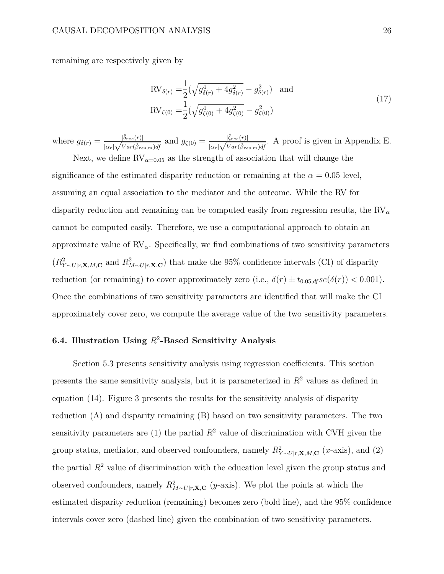remaining are respectively given by

$$
RV_{\delta(r)} = \frac{1}{2} (\sqrt{g_{\delta(r)}^4 + 4g_{\delta(r)}^2} - g_{\delta(r)}^2)
$$
 and  
\n
$$
RV_{\zeta(0)} = \frac{1}{2} (\sqrt{g_{\zeta(0)}^4 + 4g_{\zeta(0)}^2} - g_{\zeta(0)}^2)
$$
\n(17)

where  $g_{\delta(r)} = \frac{|\hat{\delta}_{res}(r)|}{|r_{\delta}(r)|^2}$  $\frac{|\hat{\delta}_{res}(r)|}{|\alpha_r|\sqrt{Var(\hat{\beta}_{res,m})df}}$  and  $g_{\zeta(0)} = \frac{|\hat{\zeta}_{res}(r)|}{|\alpha_r|\sqrt{Var(\hat{\beta}_{res})}}$  $\frac{|\zeta_{res}(r)|}{|\alpha_r|\sqrt{Var(\hat{\beta}_{res,m})dt}}$ . A proof is given in Appendix E.

Next, we define  $RV_{\alpha=0.05}$  as the strength of association that will change the significance of the estimated disparity reduction or remaining at the  $\alpha = 0.05$  level, assuming an equal association to the mediator and the outcome. While the RV for disparity reduction and remaining can be computed easily from regression results, the RV*–* cannot be computed easily. Therefore, we use a computational approach to obtain an approximate value of  $RV_{\alpha}$ . Specifically, we find combinations of two sensitivity parameters  $(R_{Y \sim U|r, \mathbf{X}, M, \mathbf{C}}^2$  and  $R_{M \sim U|r, \mathbf{X}, \mathbf{C}}^2)$  that make the 95% confidence intervals (CI) of disparity reduction (or remaining) to cover approximately zero (i.e.,  $\delta(r) \pm t_{0.05,df} se(\delta(r)) < 0.001$ ). Once the combinations of two sensitivity parameters are identified that will make the CI approximately cover zero, we compute the average value of the two sensitivity parameters.

# **6.4. Illustration Using** *R*<sup>2</sup>**-Based Sensitivity Analysis**

Section 5.3 presents sensitivity analysis using regression coefficients. This section presents the same sensitivity analysis, but it is parameterized in *R*<sup>2</sup> values as defined in equation (14). Figure 3 presents the results for the sensitivity analysis of disparity reduction (A) and disparity remaining (B) based on two sensitivity parameters. The two sensitivity parameters are (1) the partial  $R^2$  value of discrimination with CVH given the group status, mediator, and observed confounders, namely  $R_{Y \sim U|r, \mathbf{X}, M, \mathbf{C}}^2$  (*x*-axis), and (2) the partial  $R^2$  value of discrimination with the education level given the group status and observed confounders, namely  $R_{M \sim U|r, \mathbf{X}, \mathbf{C}}^2$  (*y*-axis). We plot the points at which the estimated disparity reduction (remaining) becomes zero (bold line), and the 95% confidence intervals cover zero (dashed line) given the combination of two sensitivity parameters.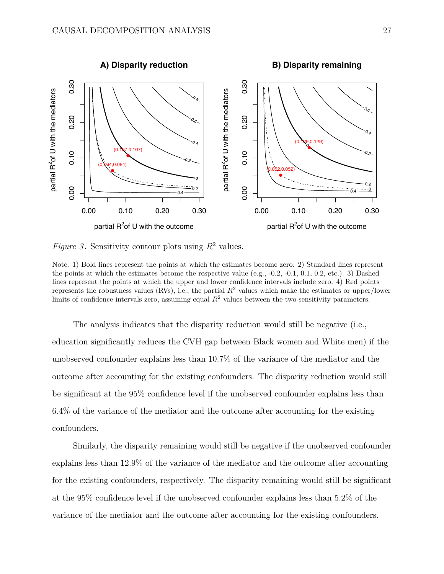

*Figure 3*. Sensitivity contour plots using  $R^2$  values.

Note. 1) Bold lines represent the points at which the estimates become zero. 2) Standard lines represent the points at which the estimates become the respective value (e.g.,  $-0.2$ ,  $-0.1$ ,  $0.1$ ,  $0.2$ , etc.). 3) Dashed lines represent the points at which the upper and lower confidence intervals include zero. 4) Red points represents the robustness values (RVs), i.e., the partial  $R^2$  values which make the estimates or upper/lower limits of confidence intervals zero, assuming equal  $R^2$  values between the two sensitivity parameters.

The analysis indicates that the disparity reduction would still be negative (i.e., education significantly reduces the CVH gap between Black women and White men) if the unobserved confounder explains less than 10.7% of the variance of the mediator and the outcome after accounting for the existing confounders. The disparity reduction would still be significant at the 95% confidence level if the unobserved confounder explains less than 6.4% of the variance of the mediator and the outcome after accounting for the existing confounders.

Similarly, the disparity remaining would still be negative if the unobserved confounder explains less than 12.9% of the variance of the mediator and the outcome after accounting for the existing confounders, respectively. The disparity remaining would still be significant at the 95% confidence level if the unobserved confounder explains less than 5.2% of the variance of the mediator and the outcome after accounting for the existing confounders.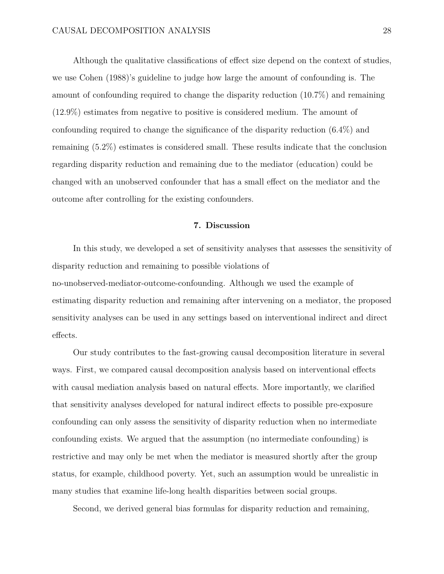Although the qualitative classifications of effect size depend on the context of studies, we use Cohen (1988)'s guideline to judge how large the amount of confounding is. The amount of confounding required to change the disparity reduction (10.7%) and remaining (12.9%) estimates from negative to positive is considered medium. The amount of confounding required to change the significance of the disparity reduction (6.4%) and remaining (5.2%) estimates is considered small. These results indicate that the conclusion regarding disparity reduction and remaining due to the mediator (education) could be changed with an unobserved confounder that has a small effect on the mediator and the outcome after controlling for the existing confounders.

### **7. Discussion**

In this study, we developed a set of sensitivity analyses that assesses the sensitivity of disparity reduction and remaining to possible violations of no-unobserved-mediator-outcome-confounding. Although we used the example of estimating disparity reduction and remaining after intervening on a mediator, the proposed sensitivity analyses can be used in any settings based on interventional indirect and direct effects.

Our study contributes to the fast-growing causal decomposition literature in several ways. First, we compared causal decomposition analysis based on interventional effects with causal mediation analysis based on natural effects. More importantly, we clarified that sensitivity analyses developed for natural indirect effects to possible pre-exposure confounding can only assess the sensitivity of disparity reduction when no intermediate confounding exists. We argued that the assumption (no intermediate confounding) is restrictive and may only be met when the mediator is measured shortly after the group status, for example, childhood poverty. Yet, such an assumption would be unrealistic in many studies that examine life-long health disparities between social groups.

Second, we derived general bias formulas for disparity reduction and remaining,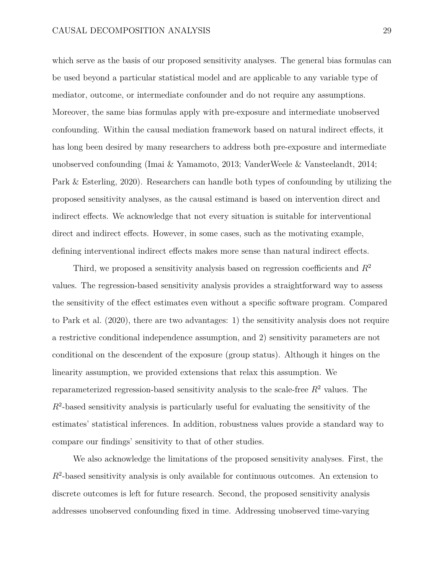which serve as the basis of our proposed sensitivity analyses. The general bias formulas can be used beyond a particular statistical model and are applicable to any variable type of mediator, outcome, or intermediate confounder and do not require any assumptions. Moreover, the same bias formulas apply with pre-exposure and intermediate unobserved confounding. Within the causal mediation framework based on natural indirect effects, it has long been desired by many researchers to address both pre-exposure and intermediate unobserved confounding (Imai & Yamamoto, 2013; VanderWeele & Vansteelandt, 2014; Park & Esterling, 2020). Researchers can handle both types of confounding by utilizing the proposed sensitivity analyses, as the causal estimand is based on intervention direct and indirect effects. We acknowledge that not every situation is suitable for interventional direct and indirect effects. However, in some cases, such as the motivating example, defining interventional indirect effects makes more sense than natural indirect effects.

Third, we proposed a sensitivity analysis based on regression coefficients and  $R<sup>2</sup>$ values. The regression-based sensitivity analysis provides a straightforward way to assess the sensitivity of the effect estimates even without a specific software program. Compared to Park et al. (2020), there are two advantages: 1) the sensitivity analysis does not require a restrictive conditional independence assumption, and 2) sensitivity parameters are not conditional on the descendent of the exposure (group status). Although it hinges on the linearity assumption, we provided extensions that relax this assumption. We reparameterized regression-based sensitivity analysis to the scale-free *R*<sup>2</sup> values. The *R*<sup>2</sup>-based sensitivity analysis is particularly useful for evaluating the sensitivity of the estimates' statistical inferences. In addition, robustness values provide a standard way to compare our findings' sensitivity to that of other studies.

We also acknowledge the limitations of the proposed sensitivity analyses. First, the *R*<sup>2</sup>-based sensitivity analysis is only available for continuous outcomes. An extension to discrete outcomes is left for future research. Second, the proposed sensitivity analysis addresses unobserved confounding fixed in time. Addressing unobserved time-varying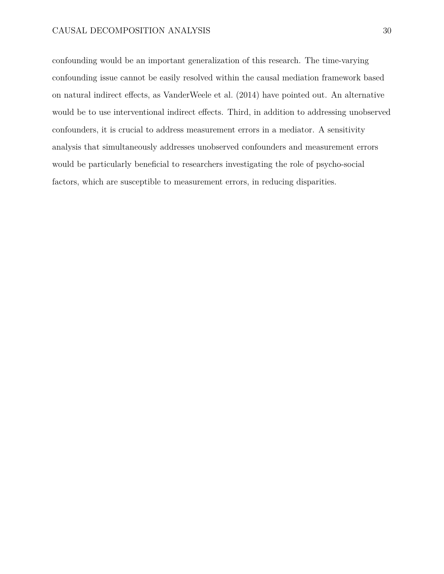confounding would be an important generalization of this research. The time-varying confounding issue cannot be easily resolved within the causal mediation framework based on natural indirect effects, as VanderWeele et al. (2014) have pointed out. An alternative would be to use interventional indirect effects. Third, in addition to addressing unobserved confounders, it is crucial to address measurement errors in a mediator. A sensitivity analysis that simultaneously addresses unobserved confounders and measurement errors would be particularly beneficial to researchers investigating the role of psycho-social factors, which are susceptible to measurement errors, in reducing disparities.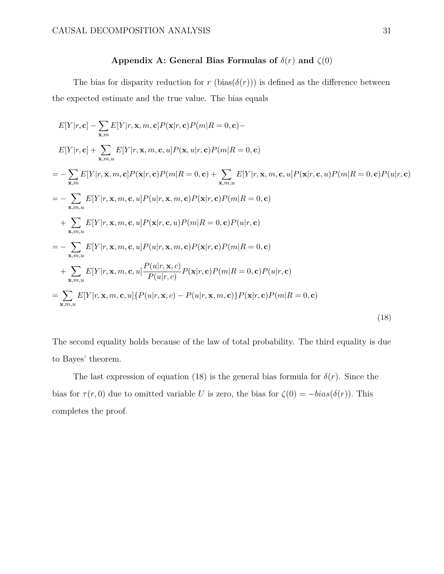# Appendix A: General Bias Formulas of  $\delta(r)$  and  $\zeta(0)$

The bias for disparity reduction for *r* (bias( $\delta(r)$ )) is defined as the difference between the expected estimate and the true value. The bias equals

$$
E[Y|r, \mathbf{c}] - \sum_{\mathbf{x}, m} E[Y|r, \mathbf{x}, m, \mathbf{c}] P(\mathbf{x}|r, \mathbf{c}) P(m|R = 0, \mathbf{c}) -
$$
  
\n
$$
E[Y|r, \mathbf{c}] + \sum_{\mathbf{x}, m, u} E[Y|r, \mathbf{x}, m, \mathbf{c}, u] P(\mathbf{x}, u|r, \mathbf{c}) P(m|R = 0, \mathbf{c})
$$
  
\n
$$
= - \sum_{\mathbf{x}, m} E[Y|r, \mathbf{x}, m, \mathbf{c}] P(\mathbf{x}|r, \mathbf{c}) P(m|R = 0, \mathbf{c}) + \sum_{\mathbf{x}, m, u} E[Y|r, \mathbf{x}, m, \mathbf{c}, u] P(\mathbf{x}|r, \mathbf{c}, u) P(m|R = 0, \mathbf{c}) P(u|r, \mathbf{c})
$$
  
\n
$$
= - \sum_{\mathbf{x}, m, u} E[Y|r, \mathbf{x}, m, \mathbf{c}, u] P(u|r, \mathbf{x}, m, \mathbf{c}) P(\mathbf{x}|r, \mathbf{c}) P(m|R = 0, \mathbf{c})
$$
  
\n
$$
+ \sum_{\mathbf{x}, m, u} E[Y|r, \mathbf{x}, m, \mathbf{c}, u] P(\mathbf{x}|r, \mathbf{c}, u) P(m|R = 0, \mathbf{c}) P(u|r, \mathbf{c})
$$
  
\n
$$
= - \sum_{\mathbf{x}, m, u} E[Y|r, \mathbf{x}, m, \mathbf{c}, u] P(u|r, \mathbf{x}, m, \mathbf{c}) P(\mathbf{x}|r, \mathbf{c}) P(m|R = 0, \mathbf{c})
$$
  
\n
$$
+ \sum_{\mathbf{x}, m, u} E[Y|r, \mathbf{x}, m, \mathbf{c}, u] \frac{P(u|r, \mathbf{x}, c)}{P(u|r, c)} P(\mathbf{x}|r, \mathbf{c}) P(m|R = 0, \mathbf{c}) P(u|r, \mathbf{c})
$$
  
\n
$$
= \sum_{\mathbf{x}, m, u} E[Y|r, \mathbf{x}, m, \mathbf{c}, u] \{P(u|r, \mathbf{x}, c) - P(u|r, \mathbf{x}, m, \mathbf{c})\} P(\mathbf{x}|r, \mathbf{c}) P(m|R = 0, \mathbf{c})
$$
  
\

The second equality holds because of the law of total probability. The third equality is due to Bayes' theorem.

The last expression of equation (18) is the general bias formula for  $\delta(r)$ . Since the bias for  $\tau(r, 0)$  due to omitted variable *U* is zero, the bias for  $\zeta(0) = -bias(\delta(r))$ . This completes the proof.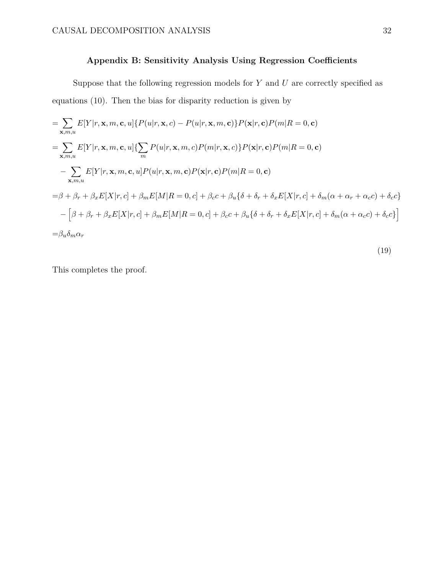# **Appendix B: Sensitivity Analysis Using Regression Coecients**

Suppose that the following regression models for *Y* and *U* are correctly specified as equations (10). Then the bias for disparity reduction is given by

$$
= \sum_{\mathbf{x},m,u} E[Y|r,\mathbf{x},m,\mathbf{c},u] \{ P(u|r,\mathbf{x},c) - P(u|r,\mathbf{x},m,\mathbf{c}) \} P(\mathbf{x}|r,\mathbf{c}) P(m|R=0,\mathbf{c})
$$
  
\n
$$
= \sum_{\mathbf{x},m,u} E[Y|r,\mathbf{x},m,\mathbf{c},u] \{ \sum_{m} P(u|r,\mathbf{x},m,c) P(m|r,\mathbf{x},c) \} P(\mathbf{x}|r,\mathbf{c}) P(m|R=0,\mathbf{c})
$$
  
\n
$$
- \sum_{\mathbf{x},m,u} E[Y|r,\mathbf{x},m,\mathbf{c},u] P(u|r,\mathbf{x},m,\mathbf{c}) P(\mathbf{x}|r,\mathbf{c}) P(m|R=0,\mathbf{c})
$$
  
\n
$$
= \beta + \beta_r + \beta_x E[X|r,c] + \beta_m E[M|R=0,c] + \beta_c c + \beta_u \{ \delta + \delta_r + \delta_x E[X|r,c] + \delta_m (\alpha + \alpha_r + \alpha_c c) + \delta_c c \}
$$
  
\n
$$
- \left[ \beta + \beta_r + \beta_x E[X|r,c] + \beta_m E[M|R=0,c] + \beta_c c + \beta_u \{ \delta + \delta_r + \delta_x E[X|r,c] + \delta_m (\alpha + \alpha_c c) + \delta_c c \} \right]
$$
  
\n
$$
= \beta_u \delta_m \alpha_r
$$

$$
(19)
$$

This completes the proof.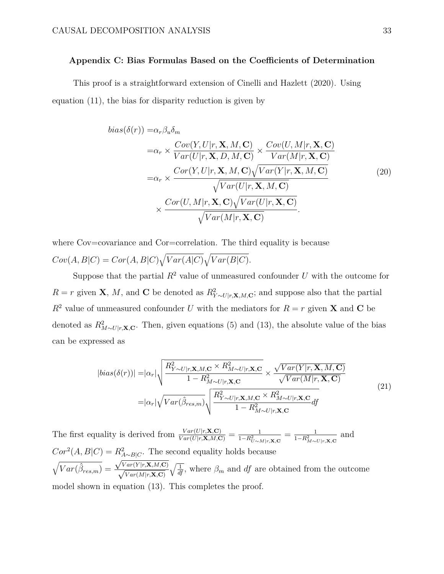# **Appendix C: Bias Formulas Based on the Coecients of Determination**

This proof is a straightforward extension of Cinelli and Hazlett (2020). Using equation (11), the bias for disparity reduction is given by

$$
bias(\delta(r)) = \alpha_r \beta_u \delta_m
$$
  
\n
$$
= \alpha_r \times \frac{Cov(Y, U|r, \mathbf{X}, M, \mathbf{C})}{Var(U|r, \mathbf{X}, D, M, \mathbf{C})} \times \frac{Cov(U, M|r, \mathbf{X}, \mathbf{C})}{Var(M|r, \mathbf{X}, \mathbf{C})}
$$
  
\n
$$
= \alpha_r \times \frac{Cor(Y, U|r, \mathbf{X}, M, \mathbf{C}) \sqrt{Var(Y|r, \mathbf{X}, M, \mathbf{C})}}{\sqrt{Var(U|r, \mathbf{X}, M, \mathbf{C})}}
$$
  
\n
$$
\times \frac{Cor(U, M|r, \mathbf{X}, \mathbf{C}) \sqrt{Var(U|r, \mathbf{X}, \mathbf{C})}}{\sqrt{Var(M|r, \mathbf{X}, \mathbf{C})}}.
$$
 (20)

where Cov=covariance and Cor=correlation. The third equality is because  $Cov(A, B|C) = Cor(A, B|C)\sqrt{Var(A|C)}\sqrt{Var(B|C)}$ .

Suppose that the partial  $R^2$  value of unmeasured confounder  $U$  with the outcome for  $R = r$  given **X**, *M*, and **C** be denoted as  $R_{Y \sim U|r, \mathbf{X}, M, \mathbf{C}}^2$ ; and suppose also that the partial  $R^2$  value of unmeasured confounder *U* with the mediators for  $R = r$  given **X** and **C** be denoted as  $R_{M \sim U|r, \mathbf{X}, \mathbf{C}}^2$ . Then, given equations (5) and (13), the absolute value of the bias can be expressed as

$$
|bias(\delta(r))| = |\alpha_r| \sqrt{\frac{R_{Y \sim U|r, \mathbf{X}, M, \mathbf{C}}^2 \times R_{M \sim U|r, \mathbf{X}, \mathbf{C}}^2}{1 - R_{M \sim U|r, \mathbf{X}, \mathbf{C}}^2}} \times \frac{\sqrt{Var(Y|r, \mathbf{X}, M, \mathbf{C})}}{\sqrt{Var(M|r, \mathbf{X}, \mathbf{C})}}
$$
  
=  $|\alpha_r| \sqrt{Var(\hat{\beta}_{res,m})} \sqrt{\frac{R_{Y \sim U|r, \mathbf{X}, M, \mathbf{C}}^2 \times R_{M \sim U|r, \mathbf{X}, \mathbf{C}}^2}{1 - R_{M \sim U|r, \mathbf{X}, \mathbf{C}}^2}} df$  (21)

The first equality is derived from  $\frac{Var(U|r, \mathbf{X}, \mathbf{C})}{Var(U|r, \mathbf{X}, M, \mathbf{C})} = \frac{1}{1 - R_{U \sim M|r, \mathbf{X}, \mathbf{C}}}$  $=\frac{1}{1-R_{M\sim U|r,\mathbf{X},\mathbf{C}}^{2}}$ and  $Cor^2(A, B|C) = R_{A \sim B|C}^2$ . The second equality holds because  $\sqrt{Var(\hat{\beta}_{res,m})} = \frac{\sqrt{Var(Y|r, \mathbf{X}, M, \mathbf{C})}}{\sqrt{Var(M|\mathbf{x}|\mathbf{C})}}$  $\sqrt{\frac{Var(Y|r, \mathbf{X}, M, \mathbf{C})}{Var(M|r, \mathbf{X}, \mathbf{C})}} \sqrt{\frac{1}{df}}$ , where  $\beta_m$  and *df* are obtained from the outcome model shown in equation (13). This completes the proof.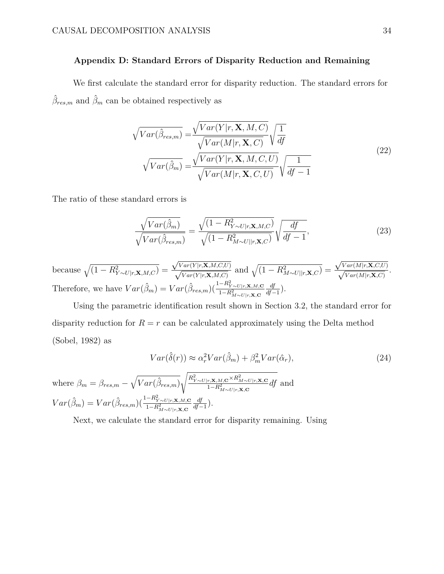# **Appendix D: Standard Errors of Disparity Reduction and Remaining**

We first calculate the standard error for disparity reduction. The standard errors for  $\hat{\beta}_{res,m}$  and  $\hat{\beta}_m$  can be obtained respectively as

$$
\sqrt{Var(\hat{\beta}_{res,m})} = \frac{\sqrt{Var(Y|r, \mathbf{X}, M, C)}}{\sqrt{Var(M|r, \mathbf{X}, C)}} \sqrt{\frac{1}{df}}
$$
\n
$$
\sqrt{Var(\hat{\beta}_m)} = \frac{\sqrt{Var(Y|r, \mathbf{X}, M, C, U)}}{\sqrt{Var(M|r, \mathbf{X}, C, U)}} \sqrt{\frac{1}{df - 1}}
$$
\n(22)

The ratio of these standard errors is

where  $\beta_m$ 

$$
\frac{\sqrt{Var(\hat{\beta}_m)}}{\sqrt{Var(\hat{\beta}_{res,m})}} = \frac{\sqrt{(1 - R_{Y \sim U|r, \mathbf{X}, M, C}^2)}}{\sqrt{(1 - R_{M \sim U||r, \mathbf{X}, C}^2)}} \sqrt{\frac{df}{df - 1}},\tag{23}
$$

because  $\sqrt{(1 - R_{Y \sim U | r, \mathbf{X}, M, C}^2)}$  =  $\sqrt{Var(Y|r, \mathbf{X}, M, C, U)}$  $\sqrt{\frac{Var(Y|r, \mathbf{X}, M, C, U)}{Var(Y|r, \mathbf{X}, M, C)}}$  and  $\sqrt{(1 - R_{M \sim U||r, \mathbf{X}, C}^2)}$  =  $\sqrt{Var(M|r, \mathbf{X}, C, U)}$  $\frac{\sqrt{Var(M|r, \mathbf{X}, C, C)}}{\sqrt{Var(M|r, \mathbf{X}, C)}}$ . Therefore, we have  $Var(\hat{\beta}_m) = Var(\hat{\beta}_{res,m}) \left(\frac{1 - R_{Y \sim U | r, \mathbf{X}, M, \mathbf{C}}^2}{1 - R_{M \sim U | r, \mathbf{X}, \mathbf{C}}^2}\right)$  $\frac{df}{df-1}$ .

Using the parametric identification result shown in Section 3.2, the standard error for disparity reduction for  $R = r$  can be calculated approximately using the Delta method (Sobel, 1982) as

$$
Var(\hat{\delta}(r)) \approx \alpha_r^2 Var(\hat{\beta}_m) + \beta_m^2 Var(\hat{\alpha}_r),
$$
  
\nwhere  $\beta_m = \beta_{res,m} - \sqrt{Var(\hat{\beta}_{res,m})} \sqrt{\frac{R_{Y \sim U|r, \mathbf{X}, M, \mathbf{C}}^2 \times R_{M \sim U|r, \mathbf{X}, \mathbf{C}}^2}{1 - R_{M \sim U|r, \mathbf{X}, \mathbf{C}}^2}} df$  and  
\n
$$
Var(\hat{\beta}_m) = Var(\hat{\beta}_{res,m}) \left( \frac{1 - R_{Y \sim U|r, \mathbf{X}, M, \mathbf{C}}^2}{1 - R_{M \sim U|r, \mathbf{X}, \mathbf{C}}^2} \frac{df}{df - 1} \right).
$$
\n(24)

Next, we calculate the standard error for disparity remaining. Using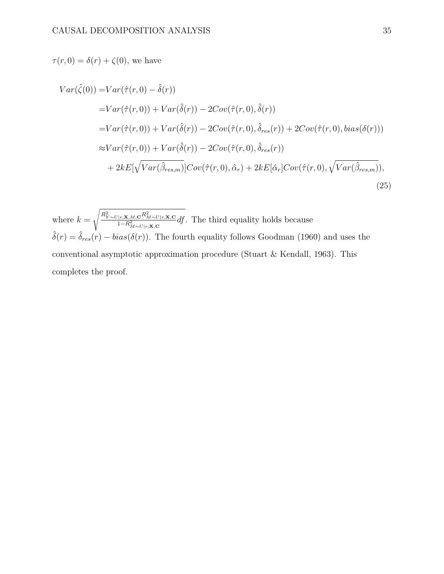$\tau(r, 0) = \delta(r) + \zeta(0)$ , we have

$$
Var(\hat{\zeta}(0)) = Var(\hat{\tau}(r,0) - \hat{\delta}(r))
$$
  
\n
$$
= Var(\hat{\tau}(r,0)) + Var(\hat{\delta}(r)) - 2Cov(\hat{\tau}(r,0),\hat{\delta}(r))
$$
  
\n
$$
= Var(\hat{\tau}(r,0)) + Var(\hat{\delta}(r)) - 2Cov(\hat{\tau}(r,0),\hat{\delta}_{res}(r)) + 2Cov(\hat{\tau}(r,0),bias(\delta(r)))
$$
  
\n
$$
\approx Var(\hat{\tau}(r,0)) + Var(\hat{\delta}(r)) - 2Cov(\hat{\tau}(r,0),\hat{\delta}_{res}(r))
$$
  
\n
$$
+ 2kE[\sqrt{Var(\hat{\beta}_{res,m})}]Cov(\hat{\tau}(r,0),\hat{\alpha}_r) + 2kE[\hat{\alpha}_r]Cov(\hat{\tau}(r,0),\sqrt{Var(\hat{\beta}_{res,m})}),
$$
\n(25)

where  $k =$  $\sqrt{\frac{R_{Y\sim U\left[r,{\bf X},M,{\bf C}}^2R_{M\sim U\left[r,{\bf X},{\bf C}}^2\right]}{1-R_{M\sim U\left[r,{\bf X},{\bf C}}^2}d\!f}.$  The third equality holds because  $\hat{\delta}(r) = \hat{\delta}_{res}(r) - bias(\delta(r))$ . The fourth equality follows Goodman (1960) and uses the conventional asymptotic approximation procedure (Stuart & Kendall, 1963). This completes the proof.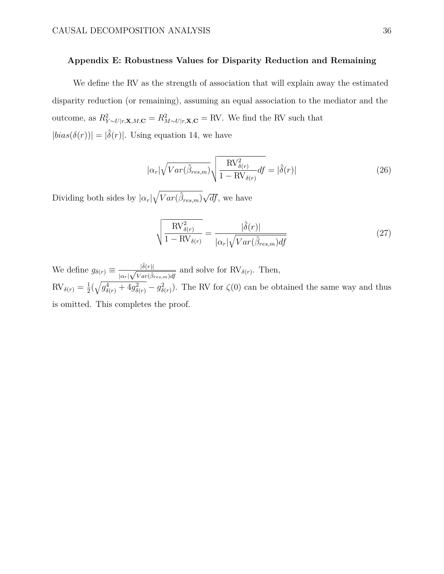# **Appendix E: Robustness Values for Disparity Reduction and Remaining**

We define the RV as the strength of association that will explain away the estimated disparity reduction (or remaining), assuming an equal association to the mediator and the outcome, as  $R_{Y \sim U|r, \mathbf{X}, M, \mathbf{C}}^2 = R_{M \sim U|r, \mathbf{X}, \mathbf{C}}^2 = RV$ . We find the RV such that  $|bias(\delta(r))| = |\hat{\delta}(r)|$ . Using equation 14, we have

$$
|\alpha_r| \sqrt{Var(\hat{\beta}_{res,m})} \sqrt{\frac{\text{RV}_{\delta(r)}^2}{1 - \text{RV}_{\delta(r)}} df} = |\hat{\delta}(r)| \tag{26}
$$

Dividing both sides by  $|\alpha_r| \sqrt{Var(\hat{\beta}_{res,m})} \sqrt{df}$ , we have

$$
\sqrt{\frac{\text{RV}_{\delta(r)}^2}{1 - \text{RV}_{\delta(r)}}} = \frac{|\hat{\delta}(r)|}{|\alpha_r| \sqrt{Var(\hat{\beta}_{res,m})df}}
$$
(27)

We define  $g_{\delta(r)} \equiv \frac{|\hat{\delta}(r)|}{|\alpha_r| \sqrt{Var(\hat{\beta})}}$  $\frac{|O(r)|}{|\alpha_r|\sqrt{Var(\hat{\beta}_{res,m})df}}$  and solve for RV<sub> $\delta(r)$ </sub>. Then,  $RV_{\delta(r)} = \frac{1}{2}(\sqrt{g_{\delta(r)}^4 + 4g_{\delta(r)}^2} - g_{\delta(r)}^2)$ . The RV for  $\zeta(0)$  can be obtained the same way and thus is omitted. This completes the proof.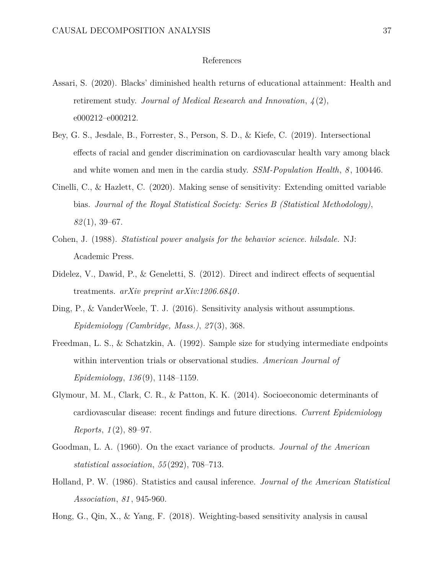### References

- Assari, S. (2020). Blacks' diminished health returns of educational attainment: Health and retirement study. *Journal of Medical Research and Innovation*, *4* (2), e000212–e000212.
- Bey, G. S., Jesdale, B., Forrester, S., Person, S. D., & Kiefe, C. (2019). Intersectional effects of racial and gender discrimination on cardiovascular health vary among black and white women and men in the cardia study. *SSM-Population Health*, *8* , 100446.
- Cinelli, C., & Hazlett, C. (2020). Making sense of sensitivity: Extending omitted variable bias. *Journal of the Royal Statistical Society: Series B (Statistical Methodology)*, *82* (1), 39–67.
- Cohen, J. (1988). *Statistical power analysis for the behavior science. hilsdale.* NJ: Academic Press.
- Didelez, V., Dawid, P., & Geneletti, S.  $(2012)$ . Direct and indirect effects of sequential treatments. *arXiv preprint arXiv:1206.6840* .
- Ding, P., & VanderWeele, T. J. (2016). Sensitivity analysis without assumptions. *Epidemiology (Cambridge, Mass.)*, *27* (3), 368.
- Freedman, L. S., & Schatzkin, A. (1992). Sample size for studying intermediate endpoints within intervention trials or observational studies. *American Journal of Epidemiology*, *136* (9), 1148–1159.
- Glymour, M. M., Clark, C. R., & Patton, K. K. (2014). Socioeconomic determinants of cardiovascular disease: recent findings and future directions. *Current Epidemiology Reports*, *1* (2), 89–97.
- Goodman, L. A. (1960). On the exact variance of products. *Journal of the American statistical association*, *55* (292), 708–713.
- Holland, P. W. (1986). Statistics and causal inference. *Journal of the American Statistical Association*, *81* , 945-960.
- Hong, G., Qin, X., & Yang, F. (2018). Weighting-based sensitivity analysis in causal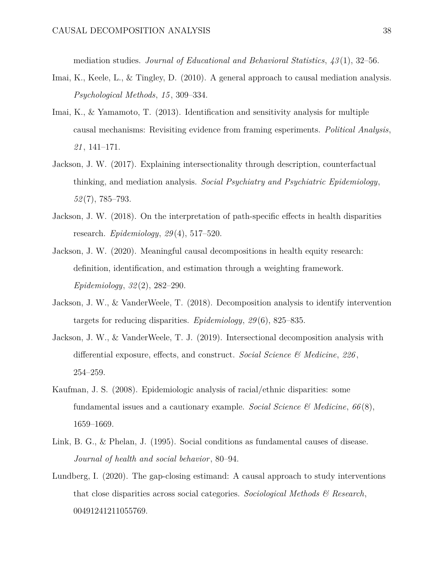mediation studies. *Journal of Educational and Behavioral Statistics*, *43* (1), 32–56.

- Imai, K., Keele, L., & Tingley, D. (2010). A general approach to causal mediation analysis. *Psychological Methods*, *15* , 309–334.
- Imai, K., & Yamamoto, T. (2013). Identification and sensitivity analysis for multiple causal mechanisms: Revisiting evidence from framing esperiments. *Political Analysis*, *21* , 141–171.
- Jackson, J. W. (2017). Explaining intersectionality through description, counterfactual thinking, and mediation analysis. *Social Psychiatry and Psychiatric Epidemiology*, *52* (7), 785–793.
- Jackson, J. W.  $(2018)$ . On the interpretation of path-specific effects in health disparities research. *Epidemiology*, *29* (4), 517–520.
- Jackson, J. W. (2020). Meaningful causal decompositions in health equity research: definition, identification, and estimation through a weighting framework. *Epidemiology*, *32* (2), 282–290.
- Jackson, J. W., & VanderWeele, T. (2018). Decomposition analysis to identify intervention targets for reducing disparities. *Epidemiology*, *29* (6), 825–835.
- Jackson, J. W., & VanderWeele, T. J. (2019). Intersectional decomposition analysis with differential exposure, effects, and construct. *Social Science*  $\mathcal{C}$  *Medicine*, 226, 254–259.
- Kaufman, J. S. (2008). Epidemiologic analysis of racial/ethnic disparities: some fundamental issues and a cautionary example. *Social Science & Medicine*, *66* (8), 1659–1669.
- Link, B. G., & Phelan, J. (1995). Social conditions as fundamental causes of disease. *Journal of health and social behavior*, 80–94.
- Lundberg, I. (2020). The gap-closing estimand: A causal approach to study interventions that close disparities across social categories. *Sociological Methods & Research*, 00491241211055769.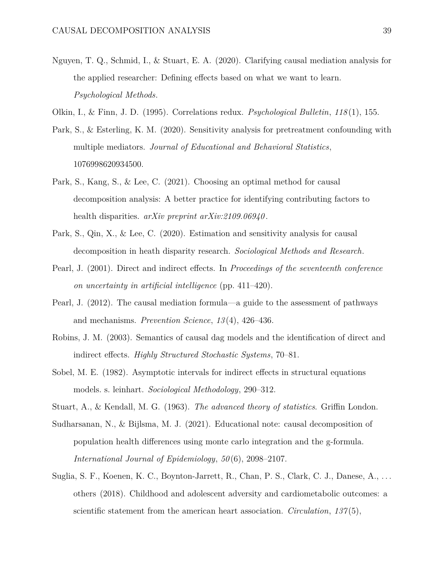- Nguyen, T. Q., Schmid, I., & Stuart, E. A. (2020). Clarifying causal mediation analysis for the applied researcher: Defining effects based on what we want to learn. *Psychological Methods*.
- Olkin, I., & Finn, J. D. (1995). Correlations redux. *Psychological Bulletin*, *118* (1), 155.
- Park, S., & Esterling, K. M. (2020). Sensitivity analysis for pretreatment confounding with multiple mediators. *Journal of Educational and Behavioral Statistics*, 1076998620934500.
- Park, S., Kang, S., & Lee, C. (2021). Choosing an optimal method for causal decomposition analysis: A better practice for identifying contributing factors to health disparities. *arXiv preprint arXiv:2109.06940* .
- Park, S., Qin, X., & Lee, C. (2020). Estimation and sensitivity analysis for causal decomposition in heath disparity research. *Sociological Methods and Research*.
- Pearl, J. (2001). Direct and indirect effects. In *Proceedings of the seventeenth conference on uncertainty in artificial intelligence* (pp. 411–420).
- Pearl, J. (2012). The causal mediation formula—a guide to the assessment of pathways and mechanisms. *Prevention Science*, *13* (4), 426–436.
- Robins, J. M. (2003). Semantics of causal dag models and the identification of direct and indirect effects. *Highly Structured Stochastic Systems*, 70–81.
- Sobel, M. E.  $(1982)$ . Asymptotic intervals for indirect effects in structural equations models. s. leinhart. *Sociological Methodology*, 290–312.
- Stuart, A., & Kendall, M. G. (1963). *The advanced theory of statistics*. Griffin London.
- Sudharsanan, N., & Bijlsma, M. J. (2021). Educational note: causal decomposition of population health differences using monte carlo integration and the g-formula. *International Journal of Epidemiology*, *50* (6), 2098–2107.
- Suglia, S. F., Koenen, K. C., Boynton-Jarrett, R., Chan, P. S., Clark, C. J., Danese, A., . . . others (2018). Childhood and adolescent adversity and cardiometabolic outcomes: a scientific statement from the american heart association. *Circulation*, *137* (5),